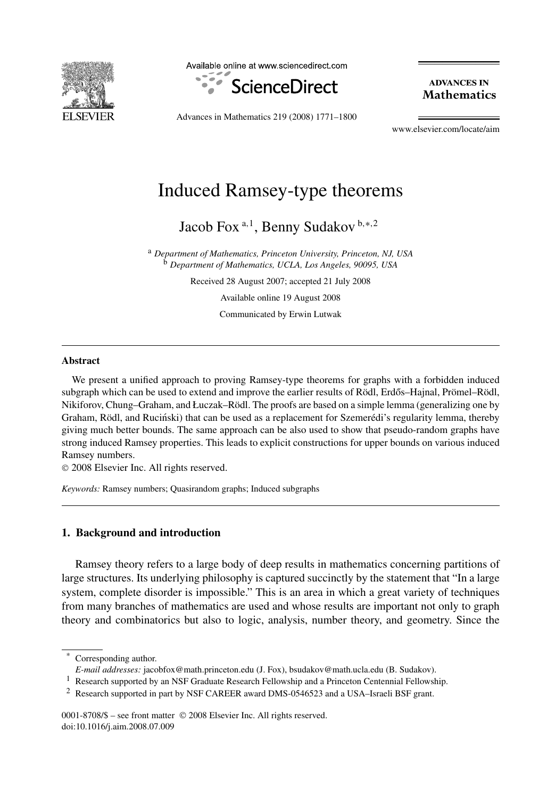

Available online at www.sciencedirect.com



**ADVANCES IN Mathematics** 

Advances in Mathematics 219 (2008) 1771–1800

www.elsevier.com/locate/aim

# Induced Ramsey-type theorems

Jacob Fox <sup>a</sup>*,*<sup>1</sup> , Benny Sudakov <sup>b</sup>*,*∗*,*<sup>2</sup>

<sup>a</sup> *Department of Mathematics, Princeton University, Princeton, NJ, USA* <sup>b</sup> *Department of Mathematics, UCLA, Los Angeles, 90095, USA*

Received 28 August 2007; accepted 21 July 2008

Available online 19 August 2008

Communicated by Erwin Lutwak

#### **Abstract**

We present a unified approach to proving Ramsey-type theorems for graphs with a forbidden induced subgraph which can be used to extend and improve the earlier results of Rödl, Erdős–Hajnal, Prömel–Rödl, Nikiforov, Chung–Graham, and Łuczak–Rödl. The proofs are based on a simple lemma (generalizing one by Graham, Rödl, and Ruciński) that can be used as a replacement for Szemerédi's regularity lemma, thereby giving much better bounds. The same approach can be also used to show that pseudo-random graphs have strong induced Ramsey properties. This leads to explicit constructions for upper bounds on various induced Ramsey numbers.

© 2008 Elsevier Inc. All rights reserved.

*Keywords:* Ramsey numbers; Quasirandom graphs; Induced subgraphs

# **1. Background and introduction**

Ramsey theory refers to a large body of deep results in mathematics concerning partitions of large structures. Its underlying philosophy is captured succinctly by the statement that "In a large system, complete disorder is impossible." This is an area in which a great variety of techniques from many branches of mathematics are used and whose results are important not only to graph theory and combinatorics but also to logic, analysis, number theory, and geometry. Since the

0001-8708/\$ – see front matter © 2008 Elsevier Inc. All rights reserved. doi:10.1016/j.aim.2008.07.009

Corresponding author.

*E-mail addresses:* jacobfox@math.princeton.edu (J. Fox), bsudakov@math.ucla.edu (B. Sudakov).

<sup>1</sup> Research supported by an NSF Graduate Research Fellowship and a Princeton Centennial Fellowship.

<sup>2</sup> Research supported in part by NSF CAREER award DMS-0546523 and a USA–Israeli BSF grant.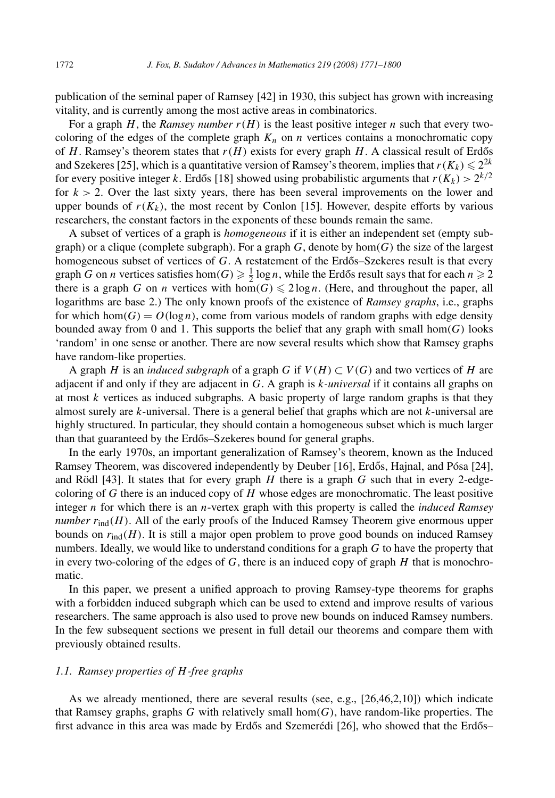publication of the seminal paper of Ramsey [42] in 1930, this subject has grown with increasing vitality, and is currently among the most active areas in combinatorics.

For a graph  $H$ , the *Ramsey number*  $r(H)$  is the least positive integer *n* such that every twocoloring of the edges of the complete graph  $K_n$  on *n* vertices contains a monochromatic copy of *H*. Ramsey's theorem states that  $r(H)$  exists for every graph *H*. A classical result of Erdős and Szekeres [25], which is a quantitative version of Ramsey's theorem, implies that  $r(K_k) \leq 2^{2k}$ for every positive integer *k*. Erdős [18] showed using probabilistic arguments that  $r(K_k) > 2^{k/2}$ for  $k > 2$ . Over the last sixty years, there has been several improvements on the lower and upper bounds of  $r(K_k)$ , the most recent by Conlon [15]. However, despite efforts by various researchers, the constant factors in the exponents of these bounds remain the same.

A subset of vertices of a graph is *homogeneous* if it is either an independent set (empty subgraph) or a clique (complete subgraph). For a graph *G*, denote by hom*(G)* the size of the largest homogeneous subset of vertices of *G*. A restatement of the Erdős–Szekeres result is that every graph *G* on *n* vertices satisfies hom $(G) \ge \frac{1}{2} \log n$ , while the Erdős result says that for each  $n \ge 2$ there is a graph *G* on *n* vertices with  $hom(G) \leq 2 \log n$ . (Here, and throughout the paper, all logarithms are base 2.) The only known proofs of the existence of *Ramsey graphs*, i.e., graphs for which hom $(G) = O(\log n)$ , come from various models of random graphs with edge density bounded away from 0 and 1. This supports the belief that any graph with small  $hom(G)$  looks 'random' in one sense or another. There are now several results which show that Ramsey graphs have random-like properties.

A graph *H* is an *induced subgraph* of a graph *G* if  $V(H) \subset V(G)$  and two vertices of *H* are adjacent if and only if they are adjacent in *G*. A graph is *k-universal* if it contains all graphs on at most *k* vertices as induced subgraphs. A basic property of large random graphs is that they almost surely are *k*-universal. There is a general belief that graphs which are not *k*-universal are highly structured. In particular, they should contain a homogeneous subset which is much larger than that guaranteed by the Erdős–Szekeres bound for general graphs.

In the early 1970s, an important generalization of Ramsey's theorem, known as the Induced Ramsey Theorem, was discovered independently by Deuber [16], Erdős, Hajnal, and Pósa [24], and Rödl [43]. It states that for every graph *H* there is a graph *G* such that in every 2-edgecoloring of *G* there is an induced copy of *H* whose edges are monochromatic. The least positive integer *n* for which there is an *n*-vertex graph with this property is called the *induced Ramsey number*  $r_{ind}(H)$ . All of the early proofs of the Induced Ramsey Theorem give enormous upper bounds on  $r_{\text{ind}}(H)$ . It is still a major open problem to prove good bounds on induced Ramsey numbers. Ideally, we would like to understand conditions for a graph *G* to have the property that in every two-coloring of the edges of  $G$ , there is an induced copy of graph  $H$  that is monochromatic.

In this paper, we present a unified approach to proving Ramsey-type theorems for graphs with a forbidden induced subgraph which can be used to extend and improve results of various researchers. The same approach is also used to prove new bounds on induced Ramsey numbers. In the few subsequent sections we present in full detail our theorems and compare them with previously obtained results.

# *1.1. Ramsey properties of H-free graphs*

As we already mentioned, there are several results (see, e.g., [26,46,2,10]) which indicate that Ramsey graphs, graphs *G* with relatively small hom*(G)*, have random-like properties. The first advance in this area was made by Erdős and Szemerédi [26], who showed that the Erdős–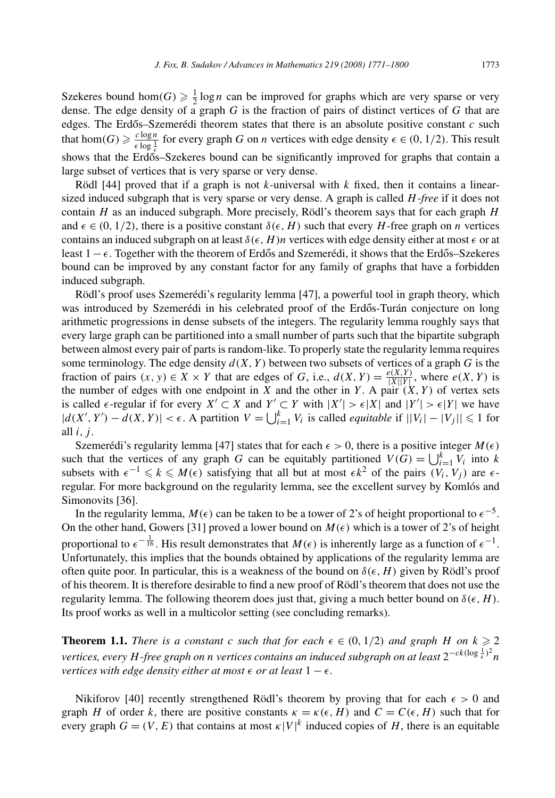Szekeres bound hom $(G) \ge \frac{1}{2} \log n$  can be improved for graphs which are very sparse or very dense. The edge density of a graph *G* is the fraction of pairs of distinct vertices of *G* that are edges. The Erdős–Szemerédi theorem states that there is an absolute positive constant  $c$  such that hom $(G) \geq \frac{c \log n}{\epsilon \log \frac{1}{\epsilon}}$  for every graph *G* on *n* vertices with edge density  $\epsilon \in (0, 1/2)$ . This result shows that the Erdos–Szekeres bound can be significantly improved for graphs that contain a large subset of vertices that is very sparse or very dense.

Rödl [44] proved that if a graph is not *k*-universal with *k* fixed, then it contains a linearsized induced subgraph that is very sparse or very dense. A graph is called *H-free* if it does not contain *H* as an induced subgraph. More precisely, Rödl's theorem says that for each graph *H* and  $\epsilon \in (0, 1/2)$ , there is a positive constant  $\delta(\epsilon, H)$  such that every *H*-free graph on *n* vertices contains an induced subgraph on at least  $\delta(\epsilon, H)n$  vertices with edge density either at most  $\epsilon$  or at least 1 –  $\epsilon$ . Together with the theorem of Erdős and Szemerédi, it shows that the Erdős–Szekeres bound can be improved by any constant factor for any family of graphs that have a forbidden induced subgraph.

Rödl's proof uses Szemerédi's regularity lemma [47], a powerful tool in graph theory, which was introduced by Szemerédi in his celebrated proof of the Erdős-Turán conjecture on long arithmetic progressions in dense subsets of the integers. The regularity lemma roughly says that every large graph can be partitioned into a small number of parts such that the bipartite subgraph between almost every pair of parts is random-like. To properly state the regularity lemma requires some terminology. The edge density  $d(X, Y)$  between two subsets of vertices of a graph G is the fraction of pairs  $(x, y) \in X \times Y$  that are edges of *G*, i.e.,  $d(X, Y) = \frac{e(X, Y)}{|X||Y|}$ , where  $e(X, Y)$  is the number of edges with one endpoint in *X* and the other in *Y*. A pair  $(X, Y)$  of vertex sets is called  $\epsilon$ -regular if for every *X'* ⊂ *X* and *Y'* ⊂ *Y* with  $|X'| > \epsilon |X|$  and  $|Y'| > \epsilon |Y|$  we have  $|d(X', Y') - d(X, Y)| < \epsilon$ . A partition  $V = \bigcup_{i=1}^{k} V_i$  is called *equitable* if  $||V_i| - |V_j|| \le 1$  for all *i, j* .

Szemerédi's regularity lemma [47] states that for each  $\epsilon > 0$ , there is a positive integer  $M(\epsilon)$ such that the vertices of any graph *G* can be equitably partitioned  $V(G) = \bigcup_{i=1}^{k} V_i$  into *k* subsets with  $\epsilon^{-1} \leq k \leq M(\epsilon)$  satisfying that all but at most  $\epsilon k^2$  of the pairs  $(V_i, V_j)$  are  $\epsilon$ regular. For more background on the regularity lemma, see the excellent survey by Komlós and Simonovits [36].

In the regularity lemma,  $M(\epsilon)$  can be taken to be a tower of 2's of height proportional to  $\epsilon^{-5}$ . On the other hand, Gowers [31] proved a lower bound on  $M(\epsilon)$  which is a tower of 2's of height proportional to  $\epsilon^{-\frac{1}{16}}$ . His result demonstrates that  $M(\epsilon)$  is inherently large as a function of  $\epsilon^{-1}$ . Unfortunately, this implies that the bounds obtained by applications of the regularity lemma are often quite poor. In particular, this is a weakness of the bound on  $\delta(\epsilon, H)$  given by Rödl's proof of his theorem. It is therefore desirable to find a new proof of Rödl's theorem that does not use the regularity lemma. The following theorem does just that, giving a much better bound on  $\delta(\epsilon, H)$ . Its proof works as well in a multicolor setting (see concluding remarks).

**Theorem 1.1.** *There is a constant c such that for each*  $\epsilon \in (0, 1/2)$  *and graph H on*  $k \ge 2$  $\alpha$  *vertices, every H-free graph on n vertices contains an induced subgraph on at least*  $2^{-ck(\log{\frac{1}{\epsilon}})^2}n$ *vertices with edge density either at most*  $\epsilon$  *or at least*  $1 - \epsilon$ *.* 

Nikiforov [40] recently strengthened Rödl's theorem by proving that for each  $\epsilon > 0$  and graph *H* of order *k*, there are positive constants  $\kappa = \kappa(\epsilon, H)$  and  $C = C(\epsilon, H)$  such that for every graph  $G = (V, E)$  that contains at most  $\kappa |V|^k$  induced copies of *H*, there is an equitable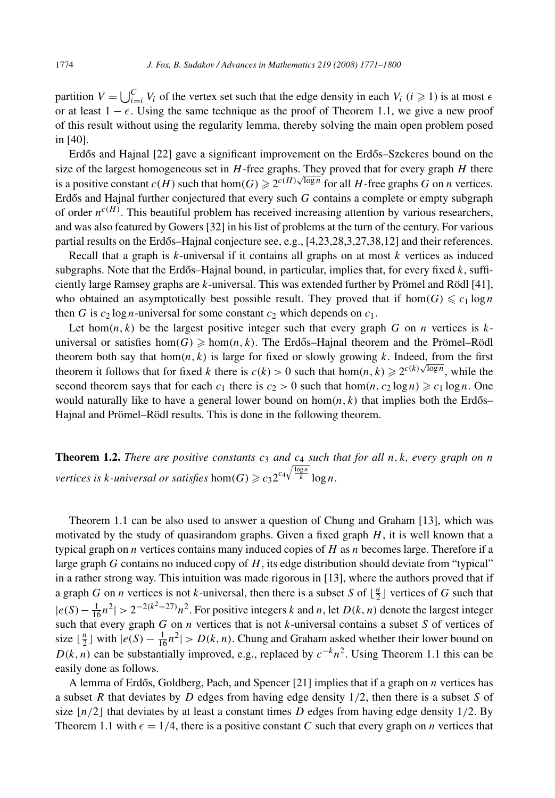partition  $V = \bigcup_{i=1}^{C} V_i$  of the vertex set such that the edge density in each  $V_i$  ( $i \ge 1$ ) is at most  $\epsilon$ or at least 1 − *-*. Using the same technique as the proof of Theorem 1.1, we give a new proof of this result without using the regularity lemma, thereby solving the main open problem posed in [40].

Erdős and Hajnal [22] gave a significant improvement on the Erdős–Szekeres bound on the size of the largest homogeneous set in *H*-free graphs. They proved that for every graph *H* there is a positive constant  $c(H)$  such that hom $(G) \ge 2^{c(H)\sqrt{\log n}}$  for all *H*-free graphs *G* on *n* vertices. Erdős and Hajnal further conjectured that every such G contains a complete or empty subgraph of order  $n^{c(H)}$ . This beautiful problem has received increasing attention by various researchers, and was also featured by Gowers [32] in his list of problems at the turn of the century. For various partial results on the Erdős–Hajnal conjecture see, e.g.,  $[4,23,28,3,27,38,12]$  and their references.

Recall that a graph is *k*-universal if it contains all graphs on at most *k* vertices as induced subgraphs. Note that the Erdős–Hajnal bound, in particular, implies that, for every fixed  $k$ , sufficiently large Ramsey graphs are *k*-universal. This was extended further by Prömel and Rödl [41], who obtained an asymptotically best possible result. They proved that if  $hom(G) \leq c_1 \log n$ then *G* is  $c_2 \log n$ -universal for some constant  $c_2$  which depends on  $c_1$ .

Let hom $(n, k)$  be the largest positive integer such that every graph *G* on *n* vertices is  $k$ universal or satisfies hom $(G) \geq \text{hom}(n, k)$ . The Erdős–Hajnal theorem and the Prömel–Rödl theorem both say that  $hom(n, k)$  is large for fixed or slowly growing  $k$ . Indeed, from the first theorem it follows that for fixed *k* there is  $c(k) > 0$  such that hom $(n, k) \geq 2^{c(k)\sqrt{\log n}}$ , while the second theorem says that for each  $c_1$  there is  $c_2 > 0$  such that  $hom(n, c_2 \log n) \geq c_1 \log n$ . One would naturally like to have a general lower bound on  $hom(n, k)$  that implies both the Erdős– Hajnal and Prömel–Rödl results. This is done in the following theorem.

**Theorem 1.2.** *There are positive constants c*<sup>3</sup> *and c*<sup>4</sup> *such that for all n, k, every graph on n vertices is k-universal or satisfies*  $hom(G) \geqslant c_3 2^{c_4 \sqrt{\frac{\log n}{k}}} \log n$ .

Theorem 1.1 can be also used to answer a question of Chung and Graham [13], which was motivated by the study of quasirandom graphs. Given a fixed graph *H*, it is well known that a typical graph on *n* vertices contains many induced copies of *H* as *n* becomes large. Therefore if a large graph *G* contains no induced copy of *H*, its edge distribution should deviate from "typical" in a rather strong way. This intuition was made rigorous in [13], where the authors proved that if a graph *G* on *n* vertices is not *k*-universal, then there is a subset *S* of  $\lfloor \frac{n}{2} \rfloor$  vertices of *G* such that  $|e(S) - \frac{1}{16}n^2|$  > 2<sup>−2(k<sup>2</sup>+27)</sup> $n^2$ . For positive integers *k* and *n*, let *D*(*k*, *n*) denote the largest integer such that every graph *G* on *n* vertices that is not *k*-universal contains a subset *S* of vertices of size  $\lfloor \frac{n}{2} \rfloor$  with  $|e(S) - \frac{1}{16}n^2| > D(k, n)$ . Chung and Graham asked whether their lower bound on  $D(k, n)$  can be substantially improved, e.g., replaced by  $c^{-k}n^2$ . Using Theorem 1.1 this can be easily done as follows.

A lemma of Erdős, Goldberg, Pach, and Spencer  $[21]$  implies that if a graph on  $n$  vertices has a subset *R* that deviates by *D* edges from having edge density 1*/*2, then there is a subset *S* of size  $\lfloor n/2 \rfloor$  that deviates by at least a constant times *D* edges from having edge density 1/2. By Theorem 1.1 with  $\epsilon = 1/4$ , there is a positive constant *C* such that every graph on *n* vertices that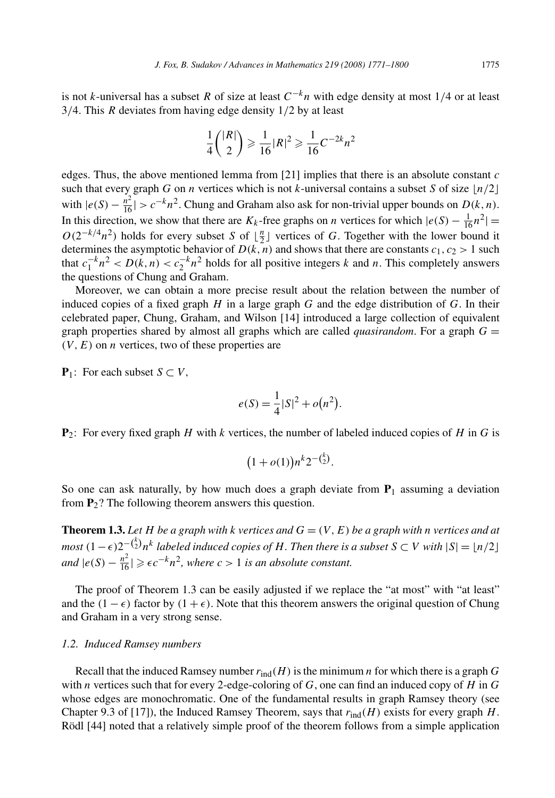is not *k*-universal has a subset *R* of size at least  $C^{-k}n$  with edge density at most 1/4 or at least 3*/*4. This *R* deviates from having edge density 1*/*2 by at least

$$
\frac{1}{4} \binom{|R|}{2} \geqslant \frac{1}{16} |R|^2 \geqslant \frac{1}{16} C^{-2k} n^2
$$

edges. Thus, the above mentioned lemma from [21] implies that there is an absolute constant *c* such that every graph *G* on *n* vertices which is not *k*-universal contains a subset *S* of size  $\lfloor n/2 \rfloor$ with  $|e(S) - \frac{n^2}{16}| > c^{-k}n^2$ . Chung and Graham also ask for non-trivial upper bounds on *D*(*k, n*). In this direction, we show that there are  $K_k$ -free graphs on *n* vertices for which  $|e(S) - \frac{1}{16}n^2|$  =  $O(2^{-k/4}n^2)$  holds for every subset *S* of  $\lfloor \frac{n}{2} \rfloor$  vertices of *G*. Together with the lower bound it determines the asymptotic behavior of  $D(k, n)$  and shows that there are constants  $c_1, c_2 > 1$  such that  $c_1^{-k}n^2 < D(k, n) < c_2^{-k}n^2$  holds for all positive integers *k* and *n*. This completely answers the questions of Chung and Graham.

Moreover, we can obtain a more precise result about the relation between the number of induced copies of a fixed graph *H* in a large graph *G* and the edge distribution of *G*. In their celebrated paper, Chung, Graham, and Wilson [14] introduced a large collection of equivalent graph properties shared by almost all graphs which are called *quasirandom*. For a graph  $G =$  $(V, E)$  on *n* vertices, two of these properties are

**P**<sub>1</sub>: For each subset *S* ⊂ *V*,

$$
e(S) = \frac{1}{4}|S|^2 + o(n^2).
$$

**P**2: For every fixed graph *H* with *k* vertices, the number of labeled induced copies of *H* in *G* is

$$
(1+o(1))n^{k}2^{-\binom{k}{2}}
$$
.

So one can ask naturally, by how much does a graph deviate from  $P_1$  assuming a deviation from **P**2? The following theorem answers this question.

**Theorem 1.3.** Let *H* be a graph with *k* vertices and  $G = (V, E)$  be a graph with *n* vertices and at *most*  $(1 - \epsilon)2^{-\binom{k}{2}}n^k$  *labeled induced copies of H*. Then there is a subset  $S ⊂ V$  with  $|S| = \lfloor n/2 \rfloor$ *and*  $|e(S) - \frac{n^2}{16}|$  ≥  $\epsilon c^{-k} n^2$ , where  $c > 1$  *is an absolute constant.* 

The proof of Theorem 1.3 can be easily adjusted if we replace the "at most" with "at least" and the  $(1 - \epsilon)$  factor by  $(1 + \epsilon)$ . Note that this theorem answers the original question of Chung and Graham in a very strong sense.

# *1.2. Induced Ramsey numbers*

Recall that the induced Ramsey number  $r_{ind}(H)$  is the minimum *n* for which there is a graph *G* with *n* vertices such that for every 2-edge-coloring of *G*, one can find an induced copy of *H* in *G* whose edges are monochromatic. One of the fundamental results in graph Ramsey theory (see Chapter 9.3 of [17]), the Induced Ramsey Theorem, says that  $r_{ind}(H)$  exists for every graph  $H$ . Rödl [44] noted that a relatively simple proof of the theorem follows from a simple application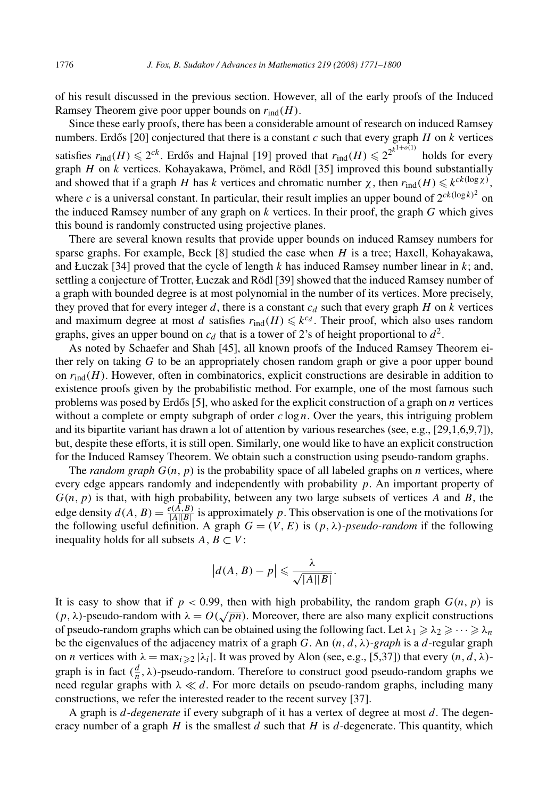of his result discussed in the previous section. However, all of the early proofs of the Induced Ramsey Theorem give poor upper bounds on  $r_{\text{ind}}(H)$ .

Since these early proofs, there has been a considerable amount of research on induced Ramsey numbers. Erdős [20] conjectured that there is a constant  $c$  such that every graph  $H$  on  $k$  vertices satisfies  $r_{\text{ind}}(H) \leq 2^{ck}$ . Erdős and Hajnal [19] proved that  $r_{\text{ind}}(H) \leq 2^{2^{k^{1+o(1)}}}$  holds for every graph *H* on *k* vertices. Kohayakawa, Prömel, and Rödl [35] improved this bound substantially and showed that if a graph *H* has *k* vertices and chromatic number  $\chi$ , then  $r_{\text{ind}}(H) \leq k^{ck(\log \chi)}$ , where *c* is a universal constant. In particular, their result implies an upper bound of  $2^{ck(\log k)^2}$  on the induced Ramsey number of any graph on *k* vertices. In their proof, the graph *G* which gives this bound is randomly constructed using projective planes.

There are several known results that provide upper bounds on induced Ramsey numbers for sparse graphs. For example, Beck [8] studied the case when *H* is a tree; Haxell, Kohayakawa, and Łuczak [34] proved that the cycle of length  $k$  has induced Ramsey number linear in  $k$ ; and, settling a conjecture of Trotter, Łuczak and Rödl [39] showed that the induced Ramsey number of a graph with bounded degree is at most polynomial in the number of its vertices. More precisely, they proved that for every integer  $d$ , there is a constant  $c_d$  such that every graph  $H$  on  $k$  vertices and maximum degree at most *d* satisfies  $r_{\text{ind}}(H) \leq k^{c_d}$ . Their proof, which also uses random graphs, gives an upper bound on  $c_d$  that is a tower of 2's of height proportional to  $d^2$ .

As noted by Schaefer and Shah [45], all known proofs of the Induced Ramsey Theorem either rely on taking *G* to be an appropriately chosen random graph or give a poor upper bound on  $r_{\text{ind}}(H)$ . However, often in combinatorics, explicit constructions are desirable in addition to existence proofs given by the probabilistic method. For example, one of the most famous such problems was posed by Erdős [5], who asked for the explicit construction of a graph on  $n$  vertices without a complete or empty subgraph of order *c* log *n*. Over the years, this intriguing problem and its bipartite variant has drawn a lot of attention by various researches (see, e.g., [29,1,6,9,7]), but, despite these efforts, it is still open. Similarly, one would like to have an explicit construction for the Induced Ramsey Theorem. We obtain such a construction using pseudo-random graphs.

The *random graph*  $G(n, p)$  is the probability space of all labeled graphs on *n* vertices, where every edge appears randomly and independently with probability *p*. An important property of *G(n, p)* is that, with high probability, between any two large subsets of vertices *A* and *B*, the edge density  $d(A, B) = \frac{e(A, B)}{|A||B|}$  is approximately *p*. This observation is one of the motivations for the following useful definition. A graph  $G = (V, E)$  is  $(p, \lambda)$ *-pseudo-random* if the following inequality holds for all subsets  $A, B \subset V$ :

$$
\left|d(A, B) - p\right| \leqslant \frac{\lambda}{\sqrt{|A||B|}}.
$$

It is easy to show that if  $p < 0.99$ , then with high probability, the random graph  $G(n, p)$  is  $(p, \lambda)$ -pseudo-random with  $\lambda = O(\sqrt{pn})$ . Moreover, there are also many explicit constructions of pseudo-random graphs which can be obtained using the following fact. Let  $\lambda_1 \geq \lambda_2 \geq \cdots \geq \lambda_n$ be the eigenvalues of the adjacency matrix of a graph *G*. An  $(n, d, \lambda)$ *-graph* is a *d*-regular graph on *n* vertices with  $\lambda = \max_{i \geq 2} |\lambda_i|$ . It was proved by Alon (see, e.g., [5,37]) that every  $(n, d, \lambda)$ graph is in fact  $(\frac{d}{n}, \lambda)$ -pseudo-random. Therefore to construct good pseudo-random graphs we need regular graphs with  $\lambda \ll d$ . For more details on pseudo-random graphs, including many constructions, we refer the interested reader to the recent survey [37].

A graph is *d-degenerate* if every subgraph of it has a vertex of degree at most *d*. The degeneracy number of a graph  $H$  is the smallest  $d$  such that  $H$  is  $d$ -degenerate. This quantity, which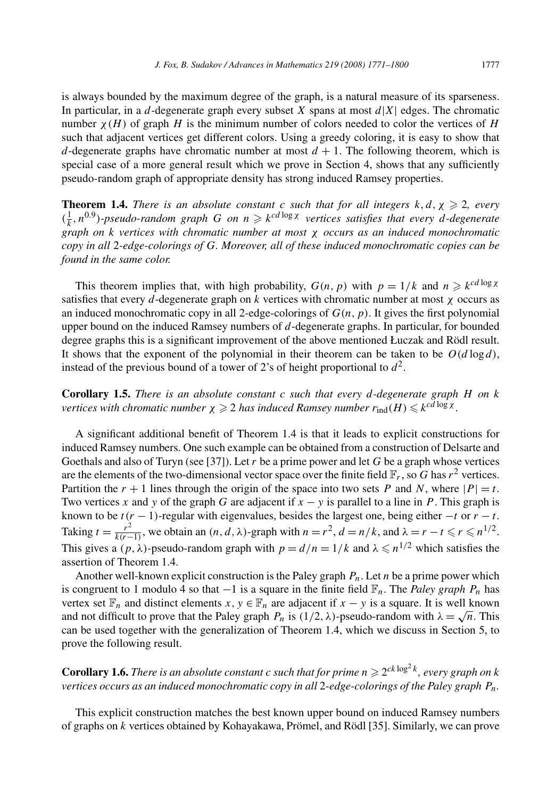is always bounded by the maximum degree of the graph, is a natural measure of its sparseness. In particular, in a *d*-degenerate graph every subset *X* spans at most *d*|*X*| edges. The chromatic number  $\chi(H)$  of graph *H* is the minimum number of colors needed to color the vertices of *H* such that adjacent vertices get different colors. Using a greedy coloring, it is easy to show that *d*-degenerate graphs have chromatic number at most  $d + 1$ . The following theorem, which is special case of a more general result which we prove in Section 4, shows that any sufficiently pseudo-random graph of appropriate density has strong induced Ramsey properties.

**Theorem 1.4.** *There is an absolute constant c such that for all integers*  $k, d, \chi \geq 2$ , *every*  $(\frac{1}{k}, n^{0.9})$ *-pseudo-random graph G on*  $n \geq k^{cd \log \chi}$  *vertices satisfies that every d-degenerate graph on k vertices with chromatic number at most χ occurs as an induced monochromatic copy in all* 2*-edge-colorings of G. Moreover, all of these induced monochromatic copies can be found in the same color.*

This theorem implies that, with high probability,  $G(n, p)$  with  $p = 1/k$  and  $n \geq k^{cd \log x}$ satisfies that every *d*-degenerate graph on *k* vertices with chromatic number at most *χ* occurs as an induced monochromatic copy in all 2-edge-colorings of *G(n, p)*. It gives the first polynomial upper bound on the induced Ramsey numbers of *d*-degenerate graphs. In particular, for bounded degree graphs this is a significant improvement of the above mentioned Łuczak and Rödl result. It shows that the exponent of the polynomial in their theorem can be taken to be  $O(d \log d)$ , instead of the previous bound of a tower of 2's of height proportional to  $d^2$ .

**Corollary 1.5.** *There is an absolute constant c such that every d-degenerate graph H on k*  $\alpha$  *vertices with chromatic number*  $\chi \geqslant 2$  *has induced Ramsey number*  $r_{\text{ind}}(H) \leqslant k^{cd \log \chi}$ *.* 

A significant additional benefit of Theorem 1.4 is that it leads to explicit constructions for induced Ramsey numbers. One such example can be obtained from a construction of Delsarte and Goethals and also of Turyn (see [37]). Let *r* be a prime power and let *G* be a graph whose vertices are the elements of the two-dimensional vector space over the finite field  $\mathbb{F}_r$ , so *G* has  $r^2$  vertices. Partition the  $r + 1$  lines through the origin of the space into two sets *P* and *N*, where  $|P| = t$ . Two vertices *x* and *y* of the graph *G* are adjacent if  $x - y$  is parallel to a line in *P*. This graph is known to be  $t(r - 1)$ -regular with eigenvalues, besides the largest one, being either  $-t$  or  $r - t$ . Taking  $t = \frac{r^2}{k(r-1)}$ , we obtain an  $(n, d, \lambda)$ -graph with  $n = r^2$ ,  $d = n/k$ , and  $\lambda = r - t \leq r \leq n^{1/2}$ . This gives a  $(p, \lambda)$ -pseudo-random graph with  $p = d/n = 1/k$  and  $\lambda \leq n^{1/2}$  which satisfies the assertion of Theorem 1.4.

Another well-known explicit construction is the Paley graph *Pn*. Let *n* be a prime power which is congruent to 1 modulo 4 so that −1 is a square in the finite field F*n*. The *Paley graph Pn* has vertex set  $\mathbb{F}_n$  and distinct elements  $x, y \in \mathbb{F}_n$  are adjacent if  $x - y$  is a square. It is well known and not difficult to prove that the Paley graph  $P_n$  is  $(1/2, \lambda)$ -pseudo-random with  $\lambda = \sqrt{n}$ . This can be used together with the generalization of Theorem 1.4, which we discuss in Section 5, to prove the following result.

**Corollary 1.6.** *There is an absolute constant c such that for prime*  $n \ge 2^{ck \log^2 k}$ , *every graph on*  $k$ *vertices occurs as an induced monochromatic copy in all* 2*-edge-colorings of the Paley graph Pn.*

This explicit construction matches the best known upper bound on induced Ramsey numbers of graphs on *k* vertices obtained by Kohayakawa, Prömel, and Rödl [35]. Similarly, we can prove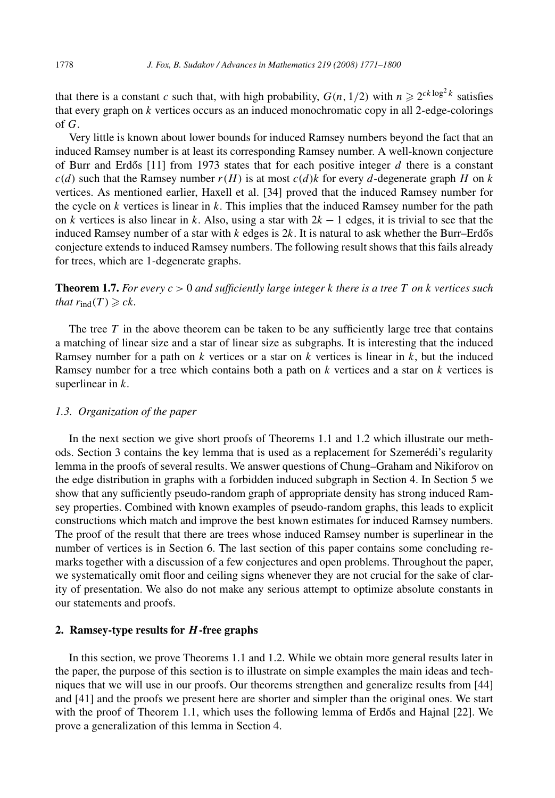that there is a constant *c* such that, with high probability,  $G(n, 1/2)$  with  $n \ge 2^{ck \log^2 k}$  satisfies that every graph on *k* vertices occurs as an induced monochromatic copy in all 2-edge-colorings of *G*.

Very little is known about lower bounds for induced Ramsey numbers beyond the fact that an induced Ramsey number is at least its corresponding Ramsey number. A well-known conjecture of Burr and Erdős  $[11]$  from 1973 states that for each positive integer  $d$  there is a constant  $c(d)$  such that the Ramsey number  $r(H)$  is at most  $c(d)k$  for every *d*-degenerate graph *H* on *k* vertices. As mentioned earlier, Haxell et al. [34] proved that the induced Ramsey number for the cycle on  $k$  vertices is linear in  $k$ . This implies that the induced Ramsey number for the path on *k* vertices is also linear in *k*. Also, using a star with 2*k* − 1 edges, it is trivial to see that the induced Ramsey number of a star with  $k$  edges is  $2k$ . It is natural to ask whether the Burr–Erdős conjecture extends to induced Ramsey numbers. The following result shows that this fails already for trees, which are 1-degenerate graphs.

**Theorem 1.7.** For every  $c > 0$  and sufficiently large integer  $k$  there is a tree  $T$  on  $k$  vertices such *that*  $r_{\text{ind}}(T) \geqslant ck$ *.* 

The tree  $T$  in the above theorem can be taken to be any sufficiently large tree that contains a matching of linear size and a star of linear size as subgraphs. It is interesting that the induced Ramsey number for a path on *k* vertices or a star on *k* vertices is linear in *k*, but the induced Ramsey number for a tree which contains both a path on *k* vertices and a star on *k* vertices is superlinear in *k*.

# *1.3. Organization of the paper*

In the next section we give short proofs of Theorems 1.1 and 1.2 which illustrate our methods. Section 3 contains the key lemma that is used as a replacement for Szemerédi's regularity lemma in the proofs of several results. We answer questions of Chung–Graham and Nikiforov on the edge distribution in graphs with a forbidden induced subgraph in Section 4. In Section 5 we show that any sufficiently pseudo-random graph of appropriate density has strong induced Ramsey properties. Combined with known examples of pseudo-random graphs, this leads to explicit constructions which match and improve the best known estimates for induced Ramsey numbers. The proof of the result that there are trees whose induced Ramsey number is superlinear in the number of vertices is in Section 6. The last section of this paper contains some concluding remarks together with a discussion of a few conjectures and open problems. Throughout the paper, we systematically omit floor and ceiling signs whenever they are not crucial for the sake of clarity of presentation. We also do not make any serious attempt to optimize absolute constants in our statements and proofs.

# **2. Ramsey-type results for** *H* **-free graphs**

In this section, we prove Theorems 1.1 and 1.2. While we obtain more general results later in the paper, the purpose of this section is to illustrate on simple examples the main ideas and techniques that we will use in our proofs. Our theorems strengthen and generalize results from [44] and [41] and the proofs we present here are shorter and simpler than the original ones. We start with the proof of Theorem 1.1, which uses the following lemma of Erdős and Hajnal  $[22]$ . We prove a generalization of this lemma in Section 4.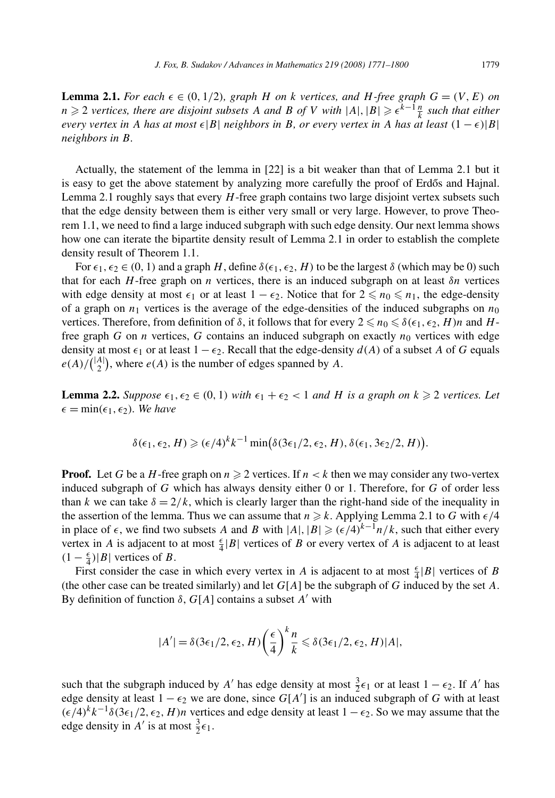**Lemma 2.1.** For each  $\epsilon \in (0, 1/2)$ , graph *H* on *k* vertices, and *H*-free graph  $G = (V, E)$  on *n* ≥ 2 *vertices, there are disjoint subsets A and B of V with*  $|A|, |B|$  ≥  $\epsilon^{k-1} \frac{n}{k}$  *such that either every vertex in A has at most*  $\epsilon |B|$  *neighbors in B, or every vertex in A has at least*  $(1 - \epsilon)|B|$ *neighbors in B.*

Actually, the statement of the lemma in [22] is a bit weaker than that of Lemma 2.1 but it is easy to get the above statement by analyzing more carefully the proof of Erdős and Hajnal. Lemma 2.1 roughly says that every *H*-free graph contains two large disjoint vertex subsets such that the edge density between them is either very small or very large. However, to prove Theorem 1.1, we need to find a large induced subgraph with such edge density. Our next lemma shows how one can iterate the bipartite density result of Lemma 2.1 in order to establish the complete density result of Theorem 1.1.

For  $\epsilon_1, \epsilon_2 \in (0, 1)$  and a graph *H*, define  $\delta(\epsilon_1, \epsilon_2, H)$  to be the largest  $\delta$  (which may be 0) such that for each *H*-free graph on *n* vertices, there is an induced subgraph on at least *δn* vertices with edge density at most  $\epsilon_1$  or at least  $1 - \epsilon_2$ . Notice that for  $2 \le n_0 \le n_1$ , the edge-density of a graph on  $n_1$  vertices is the average of the edge-densities of the induced subgraphs on  $n_0$ vertices. Therefore, from definition of  $\delta$ , it follows that for every  $2 \leq n_0 \leq \delta(\epsilon_1, \epsilon_2, H)n$  and  $H$ free graph *G* on *n* vertices, *G* contains an induced subgraph on exactly  $n_0$  vertices with edge density at most  $\epsilon_1$  or at least  $1 - \epsilon_2$ . Recall that the edge-density  $d(A)$  of a subset A of *G* equals  $e(A)/\binom{|A|}{2}$ , where  $e(A)$  is the number of edges spanned by *A*.

**Lemma 2.2.** *Suppose*  $\epsilon_1, \epsilon_2 \in (0, 1)$  *with*  $\epsilon_1 + \epsilon_2 < 1$  *and H is a graph on*  $k \ge 2$  *vertices. Let*  $\epsilon = \min(\epsilon_1, \epsilon_2)$ *. We have* 

$$
\delta(\epsilon_1, \epsilon_2, H) \geqslant (\epsilon/4)^k k^{-1} \min(\delta(3\epsilon_1/2, \epsilon_2, H), \delta(\epsilon_1, 3\epsilon_2/2, H)).
$$

**Proof.** Let G be a H-free graph on  $n \ge 2$  vertices. If  $n < k$  then we may consider any two-vertex induced subgraph of *G* which has always density either 0 or 1. Therefore, for *G* of order less than *k* we can take  $\delta = 2/k$ , which is clearly larger than the right-hand side of the inequality in the assertion of the lemma. Thus we can assume that  $n \geq k$ . Applying Lemma 2.1 to *G* with  $\epsilon/4$ in place of  $\epsilon$ , we find two subsets *A* and *B* with  $|A|, |B| \ge (\epsilon/4)^{k-1}n/k$ , such that either every vertex in *A* is adjacent to at most  $\frac{\epsilon}{4} |B|$  vertices of *B* or every vertex of *A* is adjacent to at least  $(1 - \frac{ε}{4})|B|$  vertices of *B*.

First consider the case in which every vertex in *A* is adjacent to at most  $\frac{\epsilon}{4}|B|$  vertices of *B* (the other case can be treated similarly) and let *G*[*A*] be the subgraph of *G* induced by the set *A*. By definition of function  $\delta$ ,  $G[A]$  contains a subset  $A'$  with

$$
|A'| = \delta(3\epsilon_1/2, \epsilon_2, H) \left(\frac{\epsilon}{4}\right)^k \frac{n}{k} \leq \delta(3\epsilon_1/2, \epsilon_2, H)|A|,
$$

such that the subgraph induced by *A'* has edge density at most  $\frac{3}{2} \epsilon_1$  or at least  $1 - \epsilon_2$ . If *A'* has edge density at least  $1 - \epsilon_2$  we are done, since  $G[A']$  is an induced subgraph of *G* with at least  $(\epsilon/4)^k k^{-1} \delta(3\epsilon_1/2, \epsilon_2, H)n$  vertices and edge density at least  $1 - \epsilon_2$ . So we may assume that the edge density in *A'* is at most  $\frac{3}{2}\epsilon_1$ .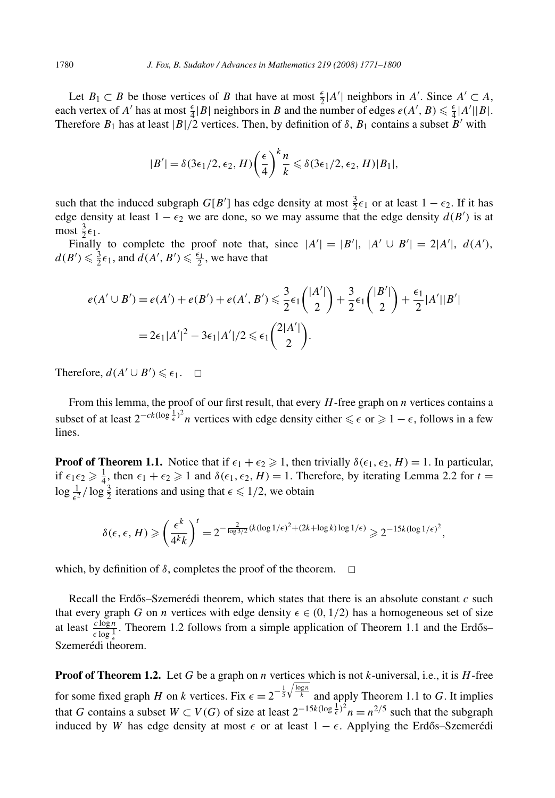Let *B*<sub>1</sub> ⊂ *B* be those vertices of *B* that have at most  $\frac{\epsilon}{2}$ |*A'*| neighbors in *A'*. Since *A'* ⊂ *A*, each vertex of *A'* has at most  $\frac{\epsilon}{4} |B|$  neighbors in *B* and the number of edges  $e(A', B) \leq \frac{\epsilon}{4} |A'| |B|$ . Therefore  $B_1$  has at least  $|B|/2$  vertices. Then, by definition of  $\delta$ ,  $B_1$  contains a subset  $B'$  with

$$
|B'| = \delta(3\epsilon_1/2, \epsilon_2, H) \left(\frac{\epsilon}{4}\right)^k \frac{n}{k} \leq \delta(3\epsilon_1/2, \epsilon_2, H) |B_1|,
$$

such that the induced subgraph *G*[*B*<sup>'</sup>] has edge density at most  $\frac{3}{2} \epsilon_1$  or at least  $1 - \epsilon_2$ . If it has edge density at least  $1 - \epsilon_2$  we are done, so we may assume that the edge density  $d(B')$  is at  $\text{most } \frac{3}{2} \epsilon_1.$ 

Finally to complete the proof note that, since  $|A'| = |B'|$ ,  $|A' \cup B'| = 2|A'|$ ,  $d(A')$ ,  $d(B') \leq \frac{3}{2} \epsilon_1$ , and  $d(A', B') \leq \frac{\epsilon_1}{2}$ , we have that

$$
e(A' \cup B') = e(A') + e(B') + e(A', B') \le \frac{3}{2} \epsilon_1 {|\Delta'| \choose 2} + \frac{3}{2} \epsilon_1 {|\Delta'| \choose 2} + \frac{\epsilon_1}{2} |A'||B'|
$$
  
=  $2\epsilon_1 |A'|^2 - 3\epsilon_1 |A'|/2 \le \epsilon_1 {2|A'| \choose 2}.$ 

Therefore,  $d(A' \cup B') \leq \epsilon_1$ .  $\Box$ 

From this lemma, the proof of our first result, that every *H*-free graph on *n* vertices contains a subset of at least  $2^{-ck(\log \frac{1}{\epsilon})^2}n$  vertices with edge density either  $\leq \epsilon$  or  $\geq 1 - \epsilon$ , follows in a few lines.

**Proof of Theorem 1.1.** Notice that if  $\epsilon_1 + \epsilon_2 \geq 1$ , then trivially  $\delta(\epsilon_1, \epsilon_2, H) = 1$ . In particular, if  $\epsilon_1 \epsilon_2 \geq \frac{1}{4}$ , then  $\epsilon_1 + \epsilon_2 \geq 1$  and  $\delta(\epsilon_1, \epsilon_2, H) = 1$ . Therefore, by iterating Lemma 2.2 for  $t =$  $\log \frac{1}{\epsilon^2} / \log \frac{3}{2}$  iterations and using that  $\epsilon \leq 1/2$ , we obtain

$$
\delta(\epsilon,\epsilon,H) \geqslant \left(\frac{\epsilon^k}{4^k k}\right)^t = 2^{-\frac{2}{\log 3/2}(k(\log 1/\epsilon)^2 + (2k+\log k)\log 1/\epsilon)} \geqslant 2^{-15k(\log 1/\epsilon)^2},
$$

which, by definition of  $\delta$ , completes the proof of the theorem.  $\Box$ 

Recall the Erdős–Szemerédi theorem, which states that there is an absolute constant  $c$  such that every graph *G* on *n* vertices with edge density  $\epsilon \in (0, 1/2)$  has a homogeneous set of size at least  $\frac{c \log n}{\epsilon \log \frac{1}{\epsilon}}$ . Theorem 1.2 follows from a simple application of Theorem 1.1 and the Erdős– Szemerédi theorem.

**Proof of Theorem 1.2.** Let *G* be a graph on *n* vertices which is not *k*-universal, i.e., it is *H*-free for some fixed graph *H* on *k* vertices. Fix  $\epsilon = 2^{-\frac{1}{5}\sqrt{\frac{\log n}{k}}}$  and apply Theorem 1.1 to *G*. It implies that *G* contains a subset  $W \subset V(G)$  of size at least  $2^{-15k(\log \frac{1}{\epsilon})^2}n = n^{2/5}$  such that the subgraph induced by *W* has edge density at most  $\epsilon$  or at least  $1 - \epsilon$ . Applying the Erdős–Szemerédi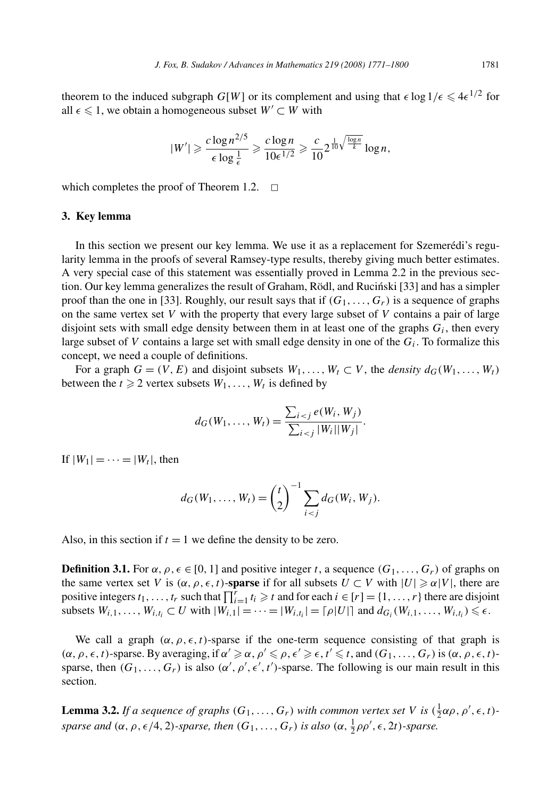theorem to the induced subgraph  $G[W]$  or its complement and using that  $\epsilon \log 1/\epsilon \leq 4\epsilon^{1/2}$  for all  $\epsilon$  ≤ 1, we obtain a homogeneous subset *W'* ⊂ *W* with

$$
|W'| \geqslant \frac{c \log n^{2/5}}{\epsilon \log \frac{1}{\epsilon}} \geqslant \frac{c \log n}{10\epsilon^{1/2}} \geqslant \frac{c}{10} 2^{\frac{1}{10}\sqrt{\frac{\log n}{k}}} \log n,
$$

which completes the proof of Theorem 1.2.  $\Box$ 

#### **3. Key lemma**

In this section we present our key lemma. We use it as a replacement for Szemerédi's regularity lemma in the proofs of several Ramsey-type results, thereby giving much better estimates. A very special case of this statement was essentially proved in Lemma 2.2 in the previous section. Our key lemma generalizes the result of Graham, Rödl, and Rucinski [33] and has a simpler proof than the one in [33]. Roughly, our result says that if  $(G_1, \ldots, G_r)$  is a sequence of graphs on the same vertex set *V* with the property that every large subset of *V* contains a pair of large disjoint sets with small edge density between them in at least one of the graphs  $G_i$ , then every large subset of *V* contains a large set with small edge density in one of the  $G_i$ . To formalize this concept, we need a couple of definitions.

For a graph  $G = (V, E)$  and disjoint subsets  $W_1, \ldots, W_t \subset V$ , the *density*  $d_G(W_1, \ldots, W_t)$ between the  $t \ge 2$  vertex subsets  $W_1, \ldots, W_t$  is defined by

$$
d_G(W_1, ..., W_t) = \frac{\sum_{i < j} e(W_i, W_j)}{\sum_{i < j} |W_i| |W_j|}.
$$

If  $|W_1|=\cdots=|W_t|$ , then

$$
d_G(W_1, ..., W_t) = {t \choose 2}^{-1} \sum_{i < j} d_G(W_i, W_j).
$$

Also, in this section if  $t = 1$  we define the density to be zero.

**Definition 3.1.** For  $\alpha$ ,  $\rho$ ,  $\epsilon \in [0, 1]$  and positive integer *t*, a sequence  $(G_1, \ldots, G_r)$  of graphs on the same vertex set *V* is  $(\alpha, \rho, \epsilon, t)$ -**sparse** if for all subsets  $U \subset V$  with  $|U| \ge \alpha |V|$ , there are positive integers  $t_1, \ldots, t_r$  such that  $\prod_{i=1}^r t_i \geq t$  and for each  $i \in [r] = \{1, \ldots, r\}$  there are disjoint subsets  $W_{i,1}, \ldots, W_{i,t_i} \subset U$  with  $|W_{i,1}| = \cdots = |W_{i,t_i}| = \lceil \rho |U| \rceil$  and  $d_{G_i}(W_{i,1}, \ldots, W_{i,t_i}) \leq \epsilon$ .

We call a graph  $(\alpha, \rho, \epsilon, t)$ -sparse if the one-term sequence consisting of that graph is  $(\alpha, \rho, \epsilon, t)$ -sparse. By averaging, if  $\alpha' \geq \alpha$ ,  $\rho' \leq \rho, \epsilon' \geq \epsilon, t' \leq t$ , and  $(G_1, \ldots, G_r)$  is  $(\alpha, \rho, \epsilon, t)$ sparse, then  $(G_1, \ldots, G_r)$  is also  $(\alpha', \rho', \epsilon', t')$ -sparse. The following is our main result in this section.

**Lemma 3.2.** *If a sequence of graphs*  $(G_1, \ldots, G_r)$  *with common vertex set V is*  $(\frac{1}{2}\alpha\rho, \rho', \epsilon, t)$ *sparse and*  $(\alpha, \rho, \epsilon/4, 2)$ *-sparse, then*  $(G_1, \ldots, G_r)$  *is also*  $(\alpha, \frac{1}{2}\rho\rho', \epsilon, 2t)$ *-sparse.*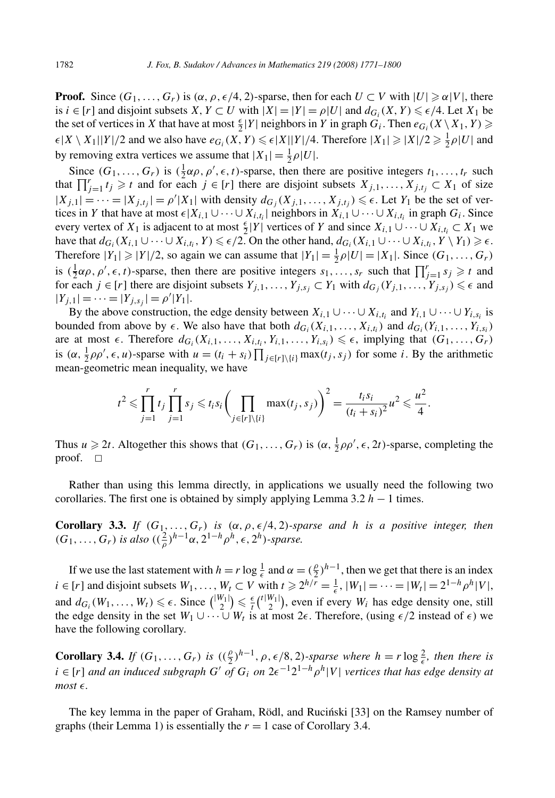**Proof.** Since  $(G_1, \ldots, G_r)$  is  $(\alpha, \rho, \epsilon/4, 2)$ -sparse, then for each  $U \subset V$  with  $|U| \geq \alpha |V|$ , there is  $i \in [r]$  and disjoint subsets  $X, Y \subset U$  with  $|X| = |Y| = \rho |U|$  and  $d_{G_i}(X, Y) \leq \epsilon/4$ . Let  $X_1$  be the set of vertices in *X* that have at most  $\frac{\epsilon}{2}|Y|$  neighbors in *Y* in graph  $G_i$ . Then  $e_{G_i}(X \setminus X_1, Y) \ge$  $\epsilon |X \setminus X_1||Y|/2$  and we also have  $e_{G_i}(X, Y) \leq \epsilon |X||Y|/4$ . Therefore  $|X_1| \geq |X|/2 \geq \frac{1}{2}\rho |U|$  and by removing extra vertices we assume that  $|X_1| = \frac{1}{2}\rho|U|$ .

Since  $(G_1, \ldots, G_r)$  is  $(\frac{1}{2}\alpha\rho, \rho', \epsilon, t)$ -sparse, then there are positive integers  $t_1, \ldots, t_r$  such that  $\prod_{j=1}^r t_j \geq t$  and for each  $j \in [r]$  there are disjoint subsets  $X_{j,1}, \ldots, X_{j,t_j} \subset X_1$  of size  $|X_{j,1}| = \cdots = |X_{j,t_j}| = \rho' |X_1|$  with density  $d_{G_j}(X_{j,1},...,X_{j,t_j}) \leq \epsilon$ . Let  $Y_1$  be the set of vertices in *Y* that have at most  $\epsilon | X_{i,1} \cup \cdots \cup X_{i,t_i} |$  neighbors in  $X_{i,1} \cup \cdots \cup X_{i,t_i}$  in graph  $G_i$ . Since every vertex of *X*<sub>1</sub> is adjacent to at most  $\frac{\epsilon}{2} |Y|$  vertices of *Y* and since  $X_{i,1} \cup \cdots \cup X_{i,t_i} \subset X_1$  we have that  $d_{G_i}(X_{i,1} \cup \cdots \cup X_{i,t_i}, Y) \leq \epsilon/2$ . On the other hand,  $d_{G_i}(X_{i,1} \cup \cdots \cup X_{i,t_i}, Y \setminus Y_1) \geq \epsilon$ . Therefore  $|Y_1| \ge |Y|/2$ , so again we can assume that  $|Y_1| = \frac{1}{2}\rho |U| = |X_1|$ . Since  $(G_1, \ldots, G_r)$ is  $(\frac{1}{2}\alpha\rho, \rho', \epsilon, t)$ -sparse, then there are positive integers  $s_1, \ldots, s_r$  such that  $\prod_{j=1}^r s_j \geq t$  and for each  $j \in [r]$  there are disjoint subsets  $Y_{j,1}, \ldots, Y_{j,s_j} \subset Y_1$  with  $d_{G_j}(Y_{j,1}, \ldots, Y_{j,s_j}) \leq \epsilon$  and  $|Y_{j,1}|=\cdots=|Y_{j,s_j}|=\rho'|Y_1|.$ 

By the above construction, the edge density between  $X_{i,1} \cup \cdots \cup X_{i,t_i}$  and  $Y_{i,1} \cup \cdots \cup Y_{i,s_i}$  is bounded from above by  $\epsilon$ . We also have that both  $d_{G_i}(X_{i,1},...,X_{i,t_i})$  and  $d_{G_i}(Y_{i,1},...,Y_{i,s_i})$ are at most  $\epsilon$ . Therefore  $d_{G_i}(X_{i,1},\ldots,X_{i,t_i},Y_{i,1},\ldots,Y_{i,s_i}) \leq \epsilon$ , implying that  $(G_1,\ldots,G_r)$ is  $(\alpha, \frac{1}{2}\rho\rho', \epsilon, u)$ -sparse with  $u = (t_i + s_i) \prod_{j \in [r] \setminus \{i\}} \max(t_j, s_j)$  for some *i*. By the arithmetic mean-geometric mean inequality, we have

$$
t^2 \leq \prod_{j=1}^r t_j \prod_{j=1}^r s_j \leq t_i s_i \bigg(\prod_{j \in [r] \setminus \{i\}} \max(t_j, s_j)\bigg)^2 = \frac{t_i s_i}{(t_i + s_i)^2} u^2 \leq \frac{u^2}{4}.
$$

Thus  $u \ge 2t$ . Altogether this shows that  $(G_1, \ldots, G_r)$  is  $(\alpha, \frac{1}{2}\rho\rho', \epsilon, 2t)$ -sparse, completing the proof.  $\Box$ 

Rather than using this lemma directly, in applications we usually need the following two corollaries. The first one is obtained by simply applying Lemma 3.2 *h* − 1 times.

**Corollary 3.3.** *If*  $(G_1, \ldots, G_r)$  *is*  $(\alpha, \rho, \epsilon/4, 2)$ *-sparse and h is a positive integer, then*  $(G_1, \ldots, G_r)$  *is also*  $((\frac{2}{\rho})^{h-1} \alpha, 2^{1-h} \rho^h, \epsilon, 2^h)$ -sparse.

If we use the last statement with  $h = r \log \frac{1}{\epsilon}$  and  $\alpha = (\frac{\rho}{2})^{h-1}$ , then we get that there is an index *i* ∈ [*r*] and disjoint subsets  $W_1, \ldots, W_t \subset V$  with  $t \ge 2^{h/r} = \frac{1}{\epsilon}$ ,  $|W_1| = \cdots = |W_t| = 2^{1-h} \rho^h |V|$ , and  $d_{G_i}(W_1, \ldots, W_t) \leq \epsilon$ . Since  $\binom{|W_1|}{2} \leq \frac{\epsilon}{t} \binom{t|W_1|}{2}$ , even if every  $W_i$  has edge density one, still the edge density in the set  $W_1 \cup \cdots \cup W_t$  is at most  $2\epsilon$ . Therefore, (using  $\epsilon/2$  instead of  $\epsilon$ ) we have the following corollary.

**Corollary 3.4.** *If*  $(G_1, \ldots, G_r)$  *is*  $((\frac{\rho}{2})^{h-1}, \rho, \epsilon/8, 2)$ -sparse where  $h = r \log \frac{2}{\epsilon}$ , then there is  $i \in [r]$  and an induced subgraph  $G'$  of  $G_i$  on  $2\epsilon^{-1}2^{1-h}\rho^h|V|$  vertices that has edge density at  $most \in$ .

The key lemma in the paper of Graham, Rödl, and Rucinski [33] on the Ramsey number of graphs (their Lemma 1) is essentially the  $r = 1$  case of Corollary 3.4.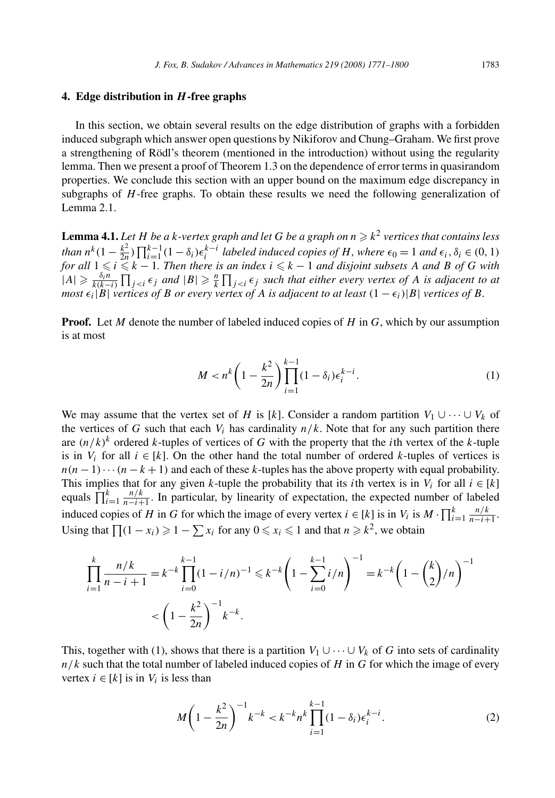## **4. Edge distribution in** *H* **-free graphs**

In this section, we obtain several results on the edge distribution of graphs with a forbidden induced subgraph which answer open questions by Nikiforov and Chung–Graham. We first prove a strengthening of Rödl's theorem (mentioned in the introduction) without using the regularity lemma. Then we present a proof of Theorem 1.3 on the dependence of error terms in quasirandom properties. We conclude this section with an upper bound on the maximum edge discrepancy in subgraphs of *H*-free graphs. To obtain these results we need the following generalization of Lemma 2.1.

**Lemma 4.1.** *Let H be a k-vertex graph and let G be a graph on*  $n \geq k^2$  *vertices that contains less* than  $n^k(1-\frac{k^2}{2n})\prod_{i=1}^{k-1}(1-\delta_i)\epsilon_i^{k-i}$  labeled induced copies of H, where  $\epsilon_0=1$  and  $\epsilon_i, \delta_i\in (0,1)$ *for all*  $1 \leqslant i \leqslant k - 1$ . Then there is an index  $i \leqslant k - 1$  and disjoint subsets A and B of G with  $|A| \geqslant \frac{\delta_i n}{k(k-i)} \prod_{j and  $|B| \geqslant \frac{n}{k} \prod_{j such that either every vertex of *A* is adjacent to at$$ *most*  $\epsilon_i$  | *B*| *vertices of B or every vertex of A is adjacent to at least*  $(1 - \epsilon_i)$ | *B*| *vertices of B.* 

**Proof.** Let *M* denote the number of labeled induced copies of *H* in *G*, which by our assumption is at most

$$
M < n^k \left( 1 - \frac{k^2}{2n} \right) \prod_{i=1}^{k-1} (1 - \delta_i) \epsilon_i^{k-i} \,. \tag{1}
$$

We may assume that the vertex set of *H* is [*k*]. Consider a random partition  $V_1 \cup \cdots \cup V_k$  of the vertices of *G* such that each  $V_i$  has cardinality  $n/k$ . Note that for any such partition there are  $(n/k)^k$  ordered *k*-tuples of vertices of *G* with the property that the *i*th vertex of the *k*-tuple is in  $V_i$  for all  $i \in [k]$ . On the other hand the total number of ordered  $k$ -tuples of vertices is  $n(n-1)\cdots(n-k+1)$  and each of these *k*-tuples has the above property with equal probability. This implies that for any given *k*-tuple the probability that its *i*th vertex is in  $V_i$  for all  $i \in [k]$ equals  $\prod_{i=1}^{k} \frac{n/k}{n-i+1}$ . In particular, by linearity of expectation, the expected number of labeled induced copies of *H* in *G* for which the image of every vertex  $i \in [k]$  is in  $V_i$  is  $M \cdot \prod_{i=1}^k \frac{n/k}{n-i+1}$ . Using that  $\prod (1 - x_i) \geq 1 - \sum x_i$  for any  $0 \leq x_i \leq 1$  and that  $n \geq k^2$ , we obtain

$$
\prod_{i=1}^{k} \frac{n/k}{n-i+1} = k^{-k} \prod_{i=0}^{k-1} (1-i/n)^{-1} \le k^{-k} \left( 1 - \sum_{i=0}^{k-1} i/n \right)^{-1} = k^{-k} \left( 1 - \binom{k}{2} / n \right)^{-1}
$$

$$
< \left( 1 - \frac{k^2}{2n} \right)^{-1} k^{-k}.
$$

This, together with (1), shows that there is a partition  $V_1 \cup \cdots \cup V_k$  of *G* into sets of cardinality  $n/k$  such that the total number of labeled induced copies of *H* in *G* for which the image of every vertex  $i \in [k]$  is in  $V_i$  is less than

$$
M\left(1 - \frac{k^2}{2n}\right)^{-1} k^{-k} < k^{-k} n^k \prod_{i=1}^{k-1} (1 - \delta_i) \epsilon_i^{k-i}.\tag{2}
$$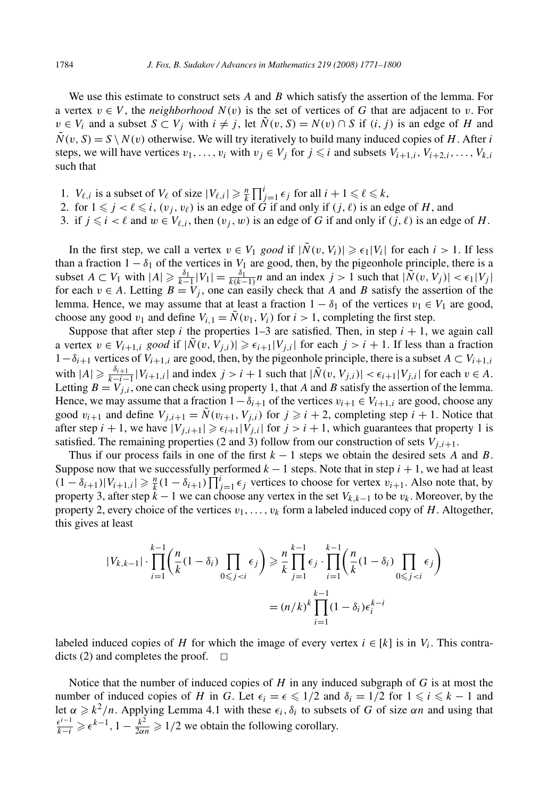We use this estimate to construct sets *A* and *B* which satisfy the assertion of the lemma. For a vertex  $v \in V$ , the *neighborhood*  $N(v)$  is the set of vertices of G that are adjacent to v. For *v* ∈ *V<sub>i</sub>* and a subset *S* ⊂ *V<sub>i</sub>* with *i*  $\neq$  *j*, let  $\tilde{N}(v, S) = N(v) \cap S$  if *(i, j)* is an edge of *H* and  $\tilde{N}(v, S) = S \setminus N(v)$  otherwise. We will try iteratively to build many induced copies of *H*. After *i* steps, we will have vertices  $v_1, \ldots, v_i$  with  $v_j \in V_j$  for  $j \leq i$  and subsets  $V_{i+1,i}, V_{i+2,i}, \ldots, V_{k,i}$ such that

- 1. *V*<sub> $\ell, i$ </sub> is a subset of *V*<sub> $\ell$ </sub> of size  $|V_{\ell, i}| \geq \frac{n}{k} \prod_{j=1}^{i} \epsilon_j$  for all  $i + 1 \leq \ell \leq k$ ,
- 2. for  $1 \leq j < l \leq i$ ,  $(v_j, v_\ell)$  is an edge of *G* if and only if  $(j, \ell)$  is an edge of *H*, and
- 3. if  $j \leq i < \ell$  and  $w \in V_{\ell,i}$ , then  $(v_j, w)$  is an edge of *G* if and only if  $(j, \ell)$  is an edge of *H*.

In the first step, we call a vertex  $v \in V_1$  *good* if  $|\tilde{N}(v, V_i)| \ge \epsilon_1 |V_i|$  for each  $i > 1$ . If less than a fraction  $1 - \delta_1$  of the vertices in  $V_1$  are good, then, by the pigeonhole principle, there is a subset  $A \subset V_1$  with  $|A| \ge \frac{\delta_1}{k-1} |V_1| = \frac{\delta_1}{k(k-1)} n$  and an index  $j > 1$  such that  $|\tilde{N}(v, V_j)| < \epsilon_1 |V_j|$ for each  $v \in A$ . Letting  $B = V_j$ , one can easily check that *A* and *B* satisfy the assertion of the lemma. Hence, we may assume that at least a fraction  $1 - \delta_1$  of the vertices  $v_1 \in V_1$  are good, choose any good  $v_1$  and define  $V_{i,1} = \tilde{N}(v_1, V_i)$  for  $i > 1$ , completing the first step.

Suppose that after step *i* the properties  $1-3$  are satisfied. Then, in step  $i + 1$ , we again call a vertex  $v \in V_{i+1,i}$  *good* if  $|\tilde{N}(v, V_{j,i})| \ge \epsilon_{i+1}|V_{j,i}|$  for each  $j > i+1$ . If less than a fraction 1−*δi*<sup>+</sup><sup>1</sup> vertices of *Vi*<sup>+</sup>1*,i* are good, then, by the pigeonhole principle, there is a subset *A* ⊂ *Vi*<sup>+</sup>1*,i* with  $|A| \geq \frac{\delta_{i+1}}{k-i-1} |V_{i+1,i}|$  and index  $j > i+1$  such that  $|\tilde{N}(v, V_{j,i})| < \epsilon_{i+1} |V_{j,i}|$  for each  $v \in A$ . Letting  $B = V_{j,i}$ , one can check using property 1, that *A* and *B* satisfy the assertion of the lemma. Hence, we may assume that a fraction  $1-\delta_{i+1}$  of the vertices  $v_{i+1} \in V_{i+1,i}$  are good, choose any good  $v_{i+1}$  and define  $V_{i,i+1} = \tilde{N}(v_{i+1}, V_{i,i})$  for  $j \geq i+2$ , completing step  $i+1$ . Notice that after step  $i + 1$ , we have  $|V_{j,i+1}| \geq \epsilon_{i+1}|V_{j,i}|$  for  $j > i + 1$ , which guarantees that property 1 is satisfied. The remaining properties (2 and 3) follow from our construction of sets  $V_{i,i+1}$ .

Thus if our process fails in one of the first *k* − 1 steps we obtain the desired sets *A* and *B*. Suppose now that we successfully performed  $k - 1$  steps. Note that in step  $i + 1$ , we had at least  $(1 - \delta_{i+1}) |V_{i+1,i}| \ge \frac{n}{k} (1 - \delta_{i+1}) \prod_{j=1}^{i} \epsilon_j$  vertices to choose for vertex  $v_{i+1}$ . Also note that, by property 3, after step *k* − 1 we can choose any vertex in the set *Vk,k*<sup>−</sup><sup>1</sup> to be *vk* . Moreover, by the property 2, every choice of the vertices  $v_1, \ldots, v_k$  form a labeled induced copy of *H*. Altogether, this gives at least

$$
|V_{k,k-1}| \cdot \prod_{i=1}^{k-1} \left(\frac{n}{k}(1-\delta_i) \prod_{0 \le j < i} \epsilon_j\right) \ge \frac{n}{k} \prod_{j=1}^{k-1} \epsilon_j \cdot \prod_{i=1}^{k-1} \left(\frac{n}{k}(1-\delta_i) \prod_{0 \le j < i} \epsilon_j\right)
$$
\n
$$
= (n/k)^k \prod_{i=1}^{k-1} (1-\delta_i) \epsilon_i^{k-i}
$$

labeled induced copies of *H* for which the image of every vertex  $i \in [k]$  is in  $V_i$ . This contradicts (2) and completes the proof.  $\Box$ 

Notice that the number of induced copies of *H* in any induced subgraph of *G* is at most the number of induced copies of *H* in *G*. Let  $\epsilon_i = \epsilon \leq 1/2$  and  $\delta_i = 1/2$  for  $1 \leq i \leq k - 1$  and let  $\alpha \geq k^2/n$ . Applying Lemma 4.1 with these  $\epsilon_i$ ,  $\delta_i$  to subsets of *G* of size  $\alpha n$  and using that  $\frac{e^{i-1}}{k-i} \geq e^{k-1}$ ,  $1 - \frac{k^2}{2\alpha n} \geq 1/2$  we obtain the following corollary.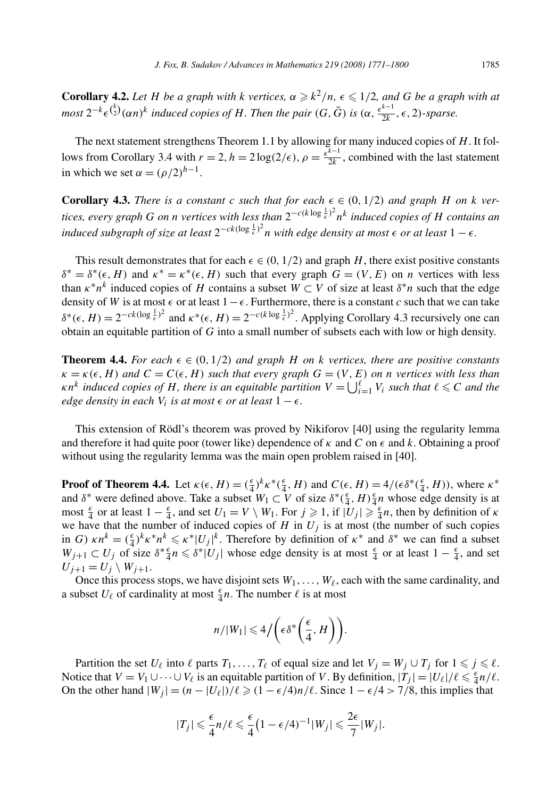**Corollary 4.2.** *Let H be a graph with k vertices,*  $\alpha \geq k^2/n$ ,  $\epsilon \leq 1/2$ , and *G be a graph with at* most  $2^{-k} \epsilon^{k \choose 2} (\alpha n)^k$  induced copies of H. Then the pair  $(G, \bar{G})$  is  $(\alpha, \frac{\epsilon^{k-1}}{2k}, \epsilon, 2)$ -sparse.

The next statement strengthens Theorem 1.1 by allowing for many induced copies of *H*. It follows from Corollary 3.4 with  $r = 2$ ,  $h = 2 \log(2/\epsilon)$ ,  $\rho = \frac{\epsilon^{k-1}}{2k}$ , combined with the last statement in which we set  $\alpha = (\rho/2)^{h-1}$ .

**Corollary 4.3.** *There is a constant c such that for each*  $\epsilon \in (0, 1/2)$  *and graph H on k vertices, every graph G on n vertices with less than* 2−*c(k* log <sup>1</sup> *- )*2 *n<sup>k</sup> induced copies of H contains an induced subgraph of size at least*  $2^{-ck(\log \frac{1}{\epsilon})^2}$ *n with edge density at most*  $\epsilon$  *or at least*  $1 - \epsilon$ *.* 

This result demonstrates that for each  $\epsilon \in (0, 1/2)$  and graph *H*, there exist positive constants  $\delta^* = \delta^*(\epsilon, H)$  and  $\kappa^* = \kappa^*(\epsilon, H)$  such that every graph  $G = (V, E)$  on *n* vertices with less than  $\kappa^* n^k$  induced copies of *H* contains a subset  $W \subset V$  of size at least  $\delta^* n$  such that the edge density of *W* is at most  $\epsilon$  or at least  $1 - \epsilon$ . Furthermore, there is a constant *c* such that we can take  $\delta^*(\epsilon, H) = 2^{-ck(\log \frac{1}{\epsilon})^2}$  and  $\kappa^*(\epsilon, H) = 2^{-c(k \log \frac{1}{\epsilon})^2}$ . Applying Corollary 4.3 recursively one can obtain an equitable partition of *G* into a small number of subsets each with low or high density.

**Theorem 4.4.** For each  $\epsilon \in (0, 1/2)$  and graph *H* on *k* vertices, there are positive constants  $\kappa = \kappa(\epsilon, H)$  and  $C = C(\epsilon, H)$  such that every graph  $G = (V, E)$  on *n* vertices with less than *k n*<sup>*k*</sup> *induced copies of H, there is an equitable partition*  $V = \bigcup_{i=1}^{\ell} V_i$  *such that*  $\ell \leq C$  *and the edge density in each*  $V_i$  *is at most*  $\epsilon$  *or at least*  $1 - \epsilon$ *.* 

This extension of Rödl's theorem was proved by Nikiforov [40] using the regularity lemma and therefore it had quite poor (tower like) dependence of  $\kappa$  and  $C$  on  $\epsilon$  and  $k$ . Obtaining a proof without using the regularity lemma was the main open problem raised in [40].

**Proof of Theorem 4.4.** Let  $\kappa(\epsilon, H) = (\frac{\epsilon}{4})^k \kappa^* (\frac{\epsilon}{4}, H)$  and  $C(\epsilon, H) = 4/(\epsilon \delta^* (\frac{\epsilon}{4}, H))$ , where  $\kappa^*$ and  $\delta^*$  were defined above. Take a subset  $W_1 \subset V$  of size  $\delta^*(\frac{\epsilon}{4}, H) \frac{\epsilon}{4} n$  whose edge density is at most  $\frac{\epsilon}{4}$  or at least  $1 - \frac{\epsilon}{4}$ , and set  $U_1 = V \setminus W_1$ . For  $j \ge 1$ , if  $|U_j| \ge \frac{\epsilon}{4}n$ , then by definition of  $\kappa$ we have that the number of induced copies of  $H$  in  $U_j$  is at most (the number of such copies in *G*)  $\kappa n^k = (\frac{\epsilon}{4})^k \kappa^* n^k \le \kappa^* |U_j|^k$ . Therefore by definition of  $\kappa^*$  and  $\delta^*$  we can find a subset *W*<sub>j+1</sub> ⊂ *U<sub>j</sub>* of size  $\delta^* \frac{\epsilon}{4} n \leq \delta^* |U_j|$  whose edge density is at most  $\frac{\epsilon}{4}$  or at least  $1 - \frac{\epsilon}{4}$ , and set  $U_{j+1} = U_j \setminus W_{j+1}.$ 

Once this process stops, we have disjoint sets  $W_1, \ldots, W_\ell$ , each with the same cardinality, and a subset  $U_{\ell}$  of cardinality at most  $\frac{\epsilon}{4}n$ . The number  $\ell$  is at most

$$
n/|W_1| \leq 4/\left(\epsilon \delta^*\left(\frac{\epsilon}{4}, H\right)\right).
$$

Partition the set  $U_\ell$  into  $\ell$  parts  $T_1, \ldots, T_\ell$  of equal size and let  $V_j = W_j \cup T_j$  for  $1 \leq j \leq \ell$ . Notice that  $V = V_1 \cup \cdots \cup V_\ell$  is an equitable partition of *V*. By definition,  $|T_j| = |U_\ell|/\ell \leq \frac{\epsilon}{4} n/\ell$ . On the other hand  $|W_j| = (n - |U_\ell|)/\ell \geq (1 - \epsilon/4)n/\ell$ . Since  $1 - \epsilon/4 > 7/8$ , this implies that

$$
|T_j| \leq \frac{\epsilon}{4}n/\ell \leq \frac{\epsilon}{4}\left(1 - \epsilon/4\right)^{-1}|W_j| \leq \frac{2\epsilon}{7}|W_j|.
$$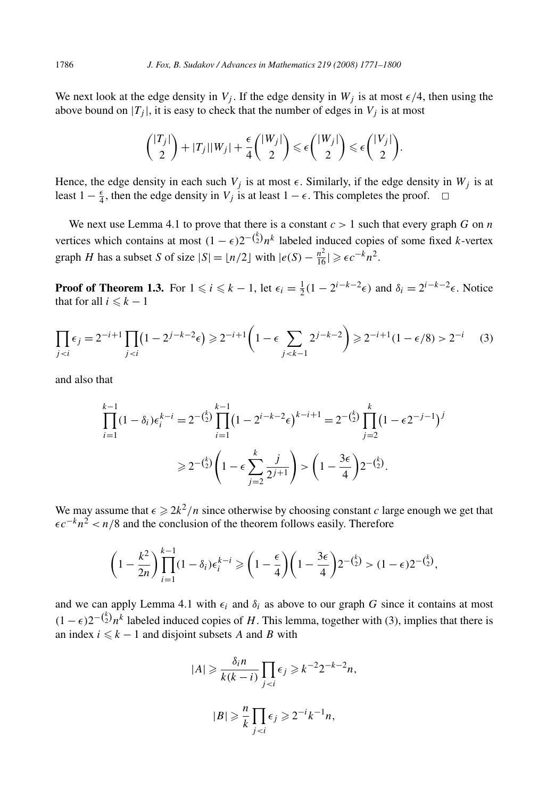We next look at the edge density in  $V_j$ . If the edge density in  $W_j$  is at most  $\epsilon/4$ , then using the above bound on  $|T_j|$ , it is easy to check that the number of edges in  $V_j$  is at most

$$
\binom{|T_j|}{2} + |T_j||W_j| + \frac{\epsilon}{4}\binom{|W_j|}{2} \leq \epsilon\binom{|W_j|}{2} \leq \epsilon\binom{|V_j|}{2}.
$$

Hence, the edge density in each such  $V_j$  is at most  $\epsilon$ . Similarly, if the edge density in  $W_j$  is at least  $1 - \frac{\epsilon}{4}$ , then the edge density in *V<sub>j</sub>* is at least  $1 - \epsilon$ . This completes the proof.  $\Box$ 

We next use Lemma 4.1 to prove that there is a constant  $c > 1$  such that every graph  $G$  on  $n$ vertices which contains at most  $(1 - \epsilon)2^{-\binom{k}{2}}n^k$  labeled induced copies of some fixed *k*-vertex graph *H* has a subset *S* of size  $|S| = \lfloor n/2 \rfloor$  with  $|e(S) - \frac{n^2}{16}| \geqslant \epsilon c^{-k} n^2$ .

**Proof of Theorem 1.3.** For  $1 \le i \le k - 1$ , let  $\epsilon_i = \frac{1}{2}(1 - 2^{i-k-2}\epsilon)$  and  $\delta_i = 2^{i-k-2}\epsilon$ . Notice that for all  $i \leq k - 1$ 

$$
\prod_{j < i} \epsilon_j = 2^{-i+1} \prod_{j < i} \left( 1 - 2^{j-k-2} \epsilon \right) \geq 2^{-i+1} \left( 1 - \epsilon \sum_{j < k-1} 2^{j-k-2} \right) \geq 2^{-i+1} (1 - \epsilon/8) > 2^{-i} \tag{3}
$$

and also that

$$
\prod_{i=1}^{k-1} (1 - \delta_i) \epsilon_i^{k-i} = 2^{-\binom{k}{2}} \prod_{i=1}^{k-1} \left( 1 - 2^{i-k-2} \epsilon \right)^{k-i+1} = 2^{-\binom{k}{2}} \prod_{j=2}^{k} \left( 1 - \epsilon 2^{-j-1} \right)^j
$$

$$
\geq 2^{-\binom{k}{2}} \left( 1 - \epsilon \sum_{j=2}^{k} \frac{j}{2^{j+1}} \right) > \left( 1 - \frac{3\epsilon}{4} \right) 2^{-\binom{k}{2}}.
$$

We may assume that  $\epsilon \ge 2k^2/n$  since otherwise by choosing constant *c* large enough we get that *-c*<sup>−</sup>*kn*<sup>2</sup> *< n/*8 and the conclusion of the theorem follows easily. Therefore

$$
\left(1-\frac{k^2}{2n}\right)\prod_{i=1}^{k-1}(1-\delta_i)\epsilon_i^{k-i} \ge \left(1-\frac{\epsilon}{4}\right)\left(1-\frac{3\epsilon}{4}\right)2^{-\binom{k}{2}} > (1-\epsilon)2^{-\binom{k}{2}},
$$

and we can apply Lemma 4.1 with  $\epsilon_i$  and  $\delta_i$  as above to our graph G since it contains at most  $(1 - \epsilon)2^{-\binom{k}{2}}n^k$  labeled induced copies of *H*. This lemma, together with (3), implies that there is an index  $i \leq k - 1$  and disjoint subsets *A* and *B* with

$$
|A| \geq \frac{\delta_i n}{k(k-i)} \prod_{j < i} \epsilon_j \geq k^{-2} 2^{-k-2} n,
$$
\n
$$
|B| \geq \frac{n}{k} \prod_{j < i} \epsilon_j \geq 2^{-i} k^{-1} n,
$$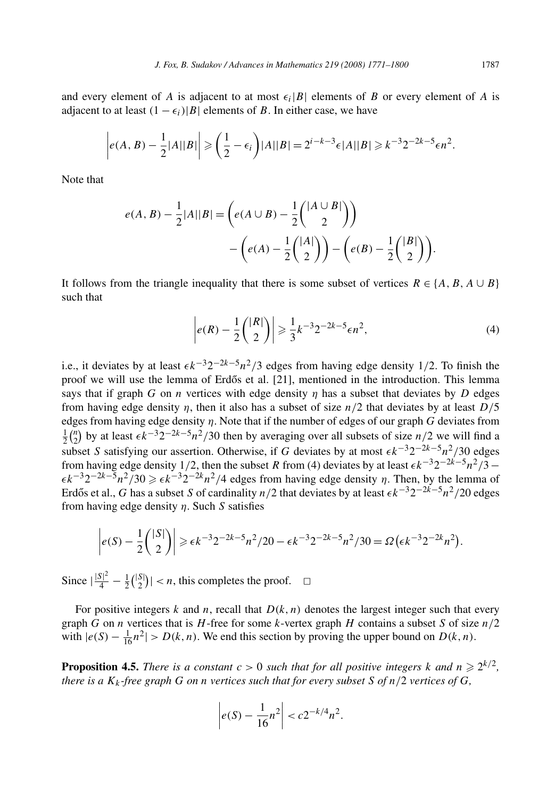and every element of *A* is adjacent to at most  $\epsilon_i |B|$  elements of *B* or every element of *A* is adjacent to at least  $(1 - \epsilon_i)|B|$  elements of *B*. In either case, we have

$$
\left| e(A,B)-\frac{1}{2}|A||B| \right| \geqslant \left( \frac{1}{2}-\epsilon_i \right) |A||B| = 2^{i-k-3} \epsilon |A||B| \geqslant k^{-3} 2^{-2k-5} \epsilon n^2.
$$

Note that

$$
e(A, B) - \frac{1}{2}|A||B| = \left(e(A \cup B) - \frac{1}{2}\binom{|A \cup B|}{2}\right) - \left(e(A) - \frac{1}{2}\binom{|A|}{2}\right) - \left(e(B) - \frac{1}{2}\binom{|B|}{2}\right).
$$

It follows from the triangle inequality that there is some subset of vertices  $R \in \{A, B, A \cup B\}$ such that

$$
\left| e(R) - \frac{1}{2} \binom{|R|}{2} \right| \geq \frac{1}{3} k^{-3} 2^{-2k - 5} \epsilon n^2,\tag{4}
$$

i.e., it deviates by at least  $\epsilon k^{-3} 2^{-2k-5} n^2/3$  edges from having edge density 1/2. To finish the proof we will use the lemma of Erdős et al. [21], mentioned in the introduction. This lemma says that if graph *G* on *n* vertices with edge density  $\eta$  has a subset that deviates by *D* edges from having edge density *η*, then it also has a subset of size *n/*2 that deviates by at least *D/*5 edges from having edge density *η*. Note that if the number of edges of our graph *G* deviates from  $\frac{1}{2}$ ( $\frac{n}{2}$ ) by at least  $\epsilon k^{-3} 2^{-2k-5} n^2/30$  then by averaging over all subsets of size *n/*2 we will find a subset *S* satisfying our assertion. Otherwise, if *G* deviates by at most  $\epsilon k^{-3}2^{-2k-5}n^2/30$  edges from having edge density 1/2, then the subset *R* from (4) deviates by at least  $\epsilon k^{-3}2^{-2k-5}n^2/3$  –  $\epsilon k^{-3} 2^{-2k-5} n^2 / 30 \geq \epsilon k^{-3} 2^{-2k} n^2 / 4$  edges from having edge density *η*. Then, by the lemma of Erdős et al., *G* has a subset *S* of cardinality *n*/2 that deviates by at least  $\epsilon k^{-3}2^{-2k-5}n^2/20$  edges from having edge density *η*. Such *S* satisfies

$$
\left| e(S) - \frac{1}{2} \binom{|S|}{2} \right| \geqslant \epsilon k^{-3} 2^{-2k - 5} n^2 / 20 - \epsilon k^{-3} 2^{-2k - 5} n^2 / 30 = \Omega \left( \epsilon k^{-3} 2^{-2k} n^2 \right).
$$

Since  $\left|\frac{|S|^2}{4} - \frac{1}{2}{\binom{|S|}{2}}\right| < n$ , this completes the proof.  $\Box$ 

For positive integers  $k$  and  $n$ , recall that  $D(k, n)$  denotes the largest integer such that every graph *G* on *n* vertices that is *H*-free for some *k*-vertex graph *H* contains a subset *S* of size *n/*2 with  $|e(S) - \frac{1}{16}n^2| > D(k, n)$ . We end this section by proving the upper bound on  $D(k, n)$ .

**Proposition 4.5.** *There is a constant*  $c > 0$  *such that for all positive integers*  $k$  *and*  $n \ge 2^{k/2}$ *, there is a Kk -free graph G on n vertices such that for every subset S of n/*2 *vertices of G,*

$$
\left| e(S) - \frac{1}{16} n^2 \right| < c 2^{-k/4} n^2.
$$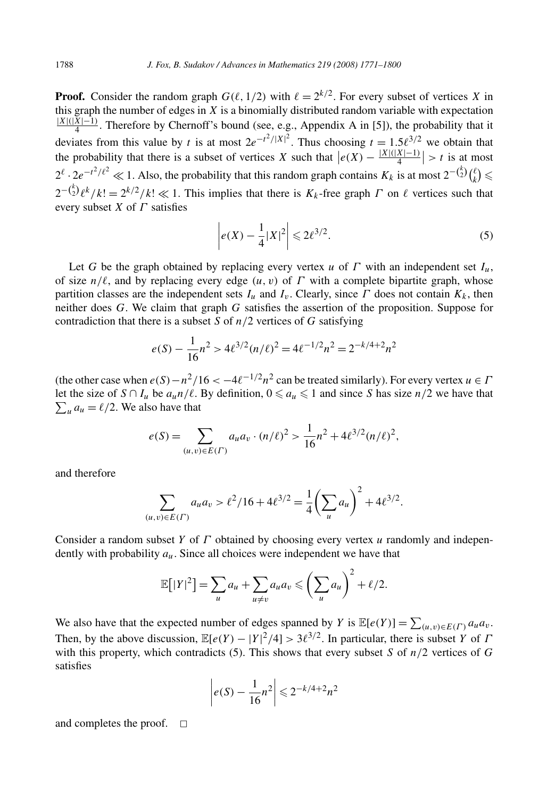**Proof.** Consider the random graph  $G(\ell, 1/2)$  with  $\ell = 2^{k/2}$ . For every subset of vertices X in this graph the number of edges in  $\overline{X}$  is a binomially distributed random variable with expectation  $\frac{|X|(|X|-1)}{4}$ . Therefore by Chernoff's bound (see, e.g., Appendix A in [5]), the probability that it deviates from this value by *t* is at most  $2e^{-t^2/|X|^2}$ . Thus choosing  $t = 1.5\ell^{3/2}$  we obtain that the probability that there is a subset of vertices *X* such that  $|e(X) - \frac{|X|(|X|-1)}{4}| > t$  is at most  $2^{\ell} \cdot 2e^{-t^2/\ell^2} \ll 1$ . Also, the probability that this random graph contains  $K_k$  is at most  $2^{-\binom{k}{2}} \binom{\ell}{k} \leq$  $2^{-\binom{k}{2}} \ell^k / k! = 2^{k/2} / k! \ll 1$ . This implies that there is  $K_k$ -free graph *Γ* on  $\ell$  vertices such that every subset *X* of *Γ* satisfies

$$
\left| e(X) - \frac{1}{4} |X|^2 \right| \le 2\ell^{3/2}.
$$
 (5)

Let *G* be the graph obtained by replacing every vertex *u* of *Γ* with an independent set  $I_u$ , of size  $n/\ell$ , and by replacing every edge  $(u, v)$  of  $\Gamma$  with a complete bipartite graph, whose partition classes are the independent sets  $I_u$  and  $I_v$ . Clearly, since  $\Gamma$  does not contain  $K_k$ , then neither does *G*. We claim that graph *G* satisfies the assertion of the proposition. Suppose for contradiction that there is a subset *S* of *n/*2 vertices of *G* satisfying

$$
e(S) - \frac{1}{16}n^2 > 4\ell^{3/2}(n/\ell)^2 = 4\ell^{-1/2}n^2 = 2^{-k/4+2}n^2
$$

(the other case when  $e(S) - n^2/16 < -4\ell^{-1/2}n^2$  can be treated similarly). For every vertex  $u \in \Gamma$ let the size of  $S \cap I_u$  be  $a_u n/\ell$ . By definition,  $0 \le a_u \le 1$  and since S has size  $n/2$  we have that  $\sum_{u} a_u = \ell/2$ . We also have that

$$
e(S) = \sum_{(u,v)\in E(\Gamma)} a_u a_v \cdot (n/\ell)^2 > \frac{1}{16} n^2 + 4\ell^{3/2} (n/\ell)^2,
$$

and therefore

$$
\sum_{(u,v)\in E(\Gamma)} a_u a_v > \ell^2/16 + 4\ell^{3/2} = \frac{1}{4} \left(\sum_u a_u\right)^2 + 4\ell^{3/2}.
$$

Consider a random subset *Y* of *Γ* obtained by choosing every vertex *u* randomly and independently with probability *au*. Since all choices were independent we have that

$$
\mathbb{E}[|Y|^2] = \sum_u a_u + \sum_{u \neq v} a_u a_v \leqslant \left(\sum_u a_u\right)^2 + \ell/2.
$$

We also have that the expected number of edges spanned by *Y* is  $\mathbb{E}[e(Y)] = \sum_{(u,v)\in E(\Gamma)} a_u a_v$ . Then, by the above discussion,  $\mathbb{E}[e(Y) - |Y|^2/4] > 3\ell^{3/2}$ . In particular, there is subset *Y* of *Γ* with this property, which contradicts (5). This shows that every subset *S* of *n/*2 vertices of *G* satisfies

$$
\left| e(S) - \frac{1}{16} n^2 \right| \leq 2^{-k/4 + 2} n^2
$$

and completes the proof.  $\square$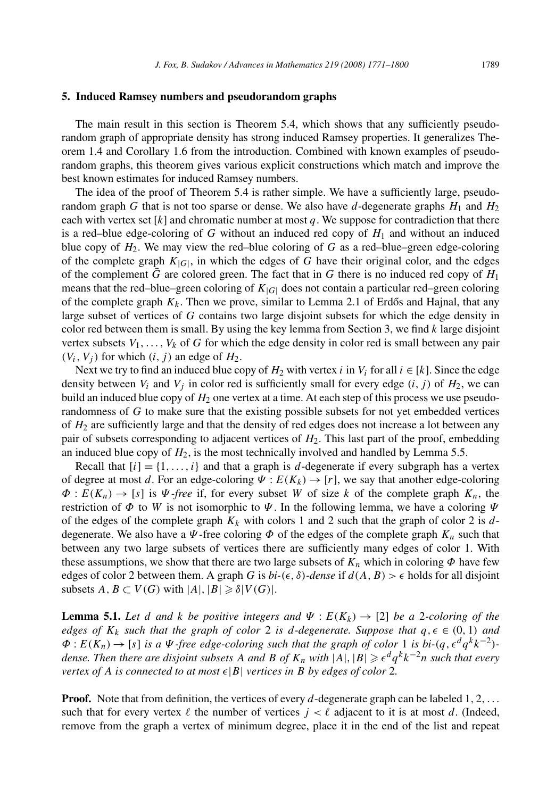#### **5. Induced Ramsey numbers and pseudorandom graphs**

The main result in this section is Theorem 5.4, which shows that any sufficiently pseudorandom graph of appropriate density has strong induced Ramsey properties. It generalizes Theorem 1.4 and Corollary 1.6 from the introduction. Combined with known examples of pseudorandom graphs, this theorem gives various explicit constructions which match and improve the best known estimates for induced Ramsey numbers.

The idea of the proof of Theorem 5.4 is rather simple. We have a sufficiently large, pseudorandom graph *G* that is not too sparse or dense. We also have *d*-degenerate graphs  $H_1$  and  $H_2$ each with vertex set  $[k]$  and chromatic number at most  $q$ . We suppose for contradiction that there is a red–blue edge-coloring of  $G$  without an induced red copy of  $H_1$  and without an induced blue copy of  $H_2$ . We may view the red–blue coloring of *G* as a red–blue–green edge-coloring of the complete graph  $K_{|G|}$ , in which the edges of G have their original color, and the edges of the complement *G* are colored green. The fact that in *G* there is no induced red copy of  $H_1$ means that the red–blue–green coloring of  $K_{|G|}$  does not contain a particular red–green coloring of the complete graph  $K_k$ . Then we prove, similar to Lemma 2.1 of Erdős and Hajnal, that any large subset of vertices of *G* contains two large disjoint subsets for which the edge density in color red between them is small. By using the key lemma from Section 3, we find *k* large disjoint vertex subsets  $V_1, \ldots, V_k$  of G for which the edge density in color red is small between any pair  $(V_i, V_j)$  for which  $(i, j)$  an edge of  $H_2$ .

Next we try to find an induced blue copy of  $H_2$  with vertex *i* in  $V_i$  for all  $i \in [k]$ . Since the edge density between  $V_i$  and  $V_j$  in color red is sufficiently small for every edge  $(i, j)$  of  $H_2$ , we can build an induced blue copy of *H*<sup>2</sup> one vertex at a time. At each step of this process we use pseudorandomness of *G* to make sure that the existing possible subsets for not yet embedded vertices of  $H_2$  are sufficiently large and that the density of red edges does not increase a lot between any pair of subsets corresponding to adjacent vertices of *H*2. This last part of the proof, embedding an induced blue copy of  $H_2$ , is the most technically involved and handled by Lemma 5.5.

Recall that  $[i] = \{1, \ldots, i\}$  and that a graph is *d*-degenerate if every subgraph has a vertex of degree at most *d*. For an edge-coloring  $\Psi$  :  $E(K_k) \rightarrow [r]$ , we say that another edge-coloring  $\Phi: E(K_n) \to [s]$  is  $\Psi$ -free if, for every subset *W* of size *k* of the complete graph  $K_n$ , the restriction of  $\Phi$  to *W* is not isomorphic to  $\Psi$ . In the following lemma, we have a coloring  $\Psi$ of the edges of the complete graph  $K_k$  with colors 1 and 2 such that the graph of color 2 is  $d$ degenerate. We also have a  $\Psi$ -free coloring  $\Phi$  of the edges of the complete graph  $K_n$  such that between any two large subsets of vertices there are sufficiently many edges of color 1. With these assumptions, we show that there are two large subsets of  $K_n$  which in coloring  $\Phi$  have few edges of color 2 between them. A graph *G* is  $bi-(\epsilon, \delta)$ -dense if  $d(A, B) > \epsilon$  holds for all disjoint subsets  $A, B \subset V(G)$  with  $|A|, |B| \geq \delta |V(G)|$ .

**Lemma 5.1.** Let *d* and *k* be positive integers and  $\Psi$  :  $E(K_k) \rightarrow [2]$  be a 2*-coloring of the edges of*  $K_k$  *such that the graph of color* 2 *is d*-degenerate. Suppose that  $q, \epsilon \in (0, 1)$  and  $\Phi: E(K_n) \to [s]$  *is a*  $\Psi$ -free edge-coloring such that the graph of color 1 *is bi-* $(q, \epsilon^d q^k k^{-2})$ *dense. Then there are disjoint subsets A and B of Kn with* |*A*|*,*|*B*| *-<sup>d</sup> qkk*<sup>−</sup>2*n such that every vertex of A is connected to at most*  $\epsilon |B|$  *vertices in B by edges of color* 2*.* 

**Proof.** Note that from definition, the vertices of every *d*-degenerate graph can be labeled 1*,* 2*,...* such that for every vertex  $\ell$  the number of vertices  $j < \ell$  adjacent to it is at most *d*. (Indeed, remove from the graph a vertex of minimum degree, place it in the end of the list and repeat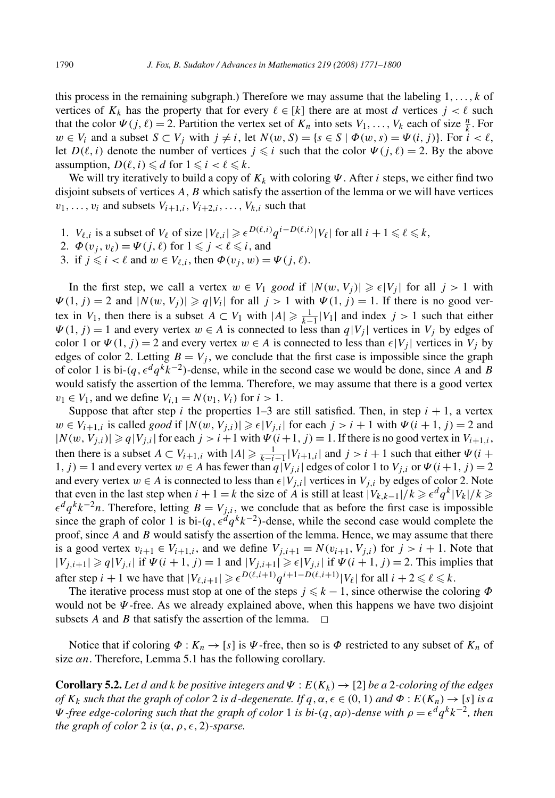this process in the remaining subgraph.) Therefore we may assume that the labeling 1*,...,k* of vertices of  $K_k$  has the property that for every  $\ell \in [k]$  there are at most *d* vertices  $j < \ell$  such that the color  $\Psi(j, \ell) = 2$ . Partition the vertex set of  $K_n$  into sets  $V_1, \ldots, V_k$  each of size  $\frac{n}{k}$ . For  $w \in V_i$  and a subset  $S \subset V_j$  with  $j \neq i$ , let  $N(w, S) = \{s \in S \mid \Phi(w, s) = \Psi(i, j)\}\$ . For  $i < \ell$ , let  $D(\ell, i)$  denote the number of vertices  $j \leq i$  such that the color  $\Psi(j, \ell) = 2$ . By the above assumption,  $D(\ell, i) \leq d$  for  $1 \leq i < \ell \leq k$ .

We will try iteratively to build a copy of *Kk* with coloring *Ψ* . After *i* steps, we either find two disjoint subsets of vertices *A,B* which satisfy the assertion of the lemma or we will have vertices  $v_1, \ldots, v_i$  and subsets  $V_{i+1,i}, V_{i+2,i}, \ldots, V_{k,i}$  such that

- 1. *V*<sub> $\ell, i$ </sub> is a subset of *V*<sub> $\ell$ </sub> of size  $|V_{\ell,i}| \ge \epsilon^{D(\ell,i)} q^{i D(\ell,i)} |V_{\ell}|$  for all  $i + 1 \le \ell \le k$ ,
- 2.  $\Phi(v_j, v_\ell) = \Psi(j, \ell)$  for  $1 \leq j < \ell \leq i$ , and
- 3. if  $j \leq i < \ell$  and  $w \in V_{\ell,i}$ , then  $\Phi(v_j, w) = \Psi(j, \ell)$ .

In the first step, we call a vertex  $w \in V_1$  *good* if  $|N(w, V_j)| \geq \epsilon |V_j|$  for all  $j > 1$  with  $\Psi(1, j) = 2$  and  $|N(w, V_j)| \geq q|V_i|$  for all  $j > 1$  with  $\Psi(1, j) = 1$ . If there is no good vertex in *V*<sub>1</sub>, then there is a subset  $A \subset V_1$  with  $|A| \ge \frac{1}{k-1} |V_1|$  and index  $j > 1$  such that either  $\Psi(1, j) = 1$  and every vertex  $w \in A$  is connected to less than  $q|V_i|$  vertices in  $V_i$  by edges of color 1 or  $\Psi(1, j) = 2$  and every vertex  $w \in A$  is connected to less than  $\epsilon |V_j|$  vertices in  $V_j$  by edges of color 2. Letting  $B = V_i$ , we conclude that the first case is impossible since the graph of color 1 is bi- $(q, \epsilon^d q^k k^{-2})$ -dense, while in the second case we would be done, since *A* and *B* would satisfy the assertion of the lemma. Therefore, we may assume that there is a good vertex *v*<sub>1</sub> ∈ *V*<sub>1</sub>, and we define *V*<sub>*i*.1</sub> = *N*(*v*<sub>1</sub>, *V*<sub>*i*</sub>) for *i* > 1.

Suppose that after step  $i$  the properties 1–3 are still satisfied. Then, in step  $i + 1$ , a vertex *w* ∈ *V<sub>i+1,i</sub>* is called *good* if  $|N(w, V_{j,i})| \ge \epsilon |V_{j,i}|$  for each  $j > i + 1$  with  $\Psi(i + 1, j) = 2$  and  $|N(w, V_{i,i})|$  ≥  $q|V_{i,i}|$  for each  $j>i+1$  with  $\Psi(i+1, j) = 1$ . If there is no good vertex in  $V_{i+1,i}$ , then there is a subset  $A \subset V_{i+1,i}$  with  $|A| \ge \frac{1}{k-i-1} |V_{i+1,i}|$  and  $j > i+1$  such that either  $\Psi(i+1)$ 1*, j*) = 1 and every vertex  $w \in A$  has fewer than  $q|V_{j,i}|$  edges of color 1 to  $V_{j,i}$  or  $\Psi(i+1,j) = 2$ and every vertex  $w \in A$  is connected to less than  $\epsilon |V_{j,i}|$  vertices in  $V_{j,i}$  by edges of color 2. Note that even in the last step when  $i + 1 = k$  the size of *A* is still at least  $|V_{k,k-1}|/k \geq \epsilon^d q^k |V_k|/k \geq$  $\epsilon^d q^k k^{-2} n$ . Therefore, letting  $B = V_{j,i}$ , we conclude that as before the first case is impossible since the graph of color 1 is bi- $(q, \epsilon^d q^k k^{-2})$ -dense, while the second case would complete the proof, since *A* and *B* would satisfy the assertion of the lemma. Hence, we may assume that there is a good vertex  $v_{i+1} \in V_{i+1,i}$ , and we define  $V_{j,i+1} = N(v_{i+1}, V_{j,i})$  for  $j > i+1$ . Note that  $|V_{j,i+1}| \geqslant q|V_{j,i}|$  if  $\Psi(i+1,j) = 1$  and  $|V_{j,i+1}| \geqslant \epsilon |V_{j,i}|$  if  $\Psi(i+1,j) = 2$ . This implies that after step  $i + 1$  we have that  $|V_{\ell,i+1}| \geqslant \epsilon^{D(\ell,i+1)} q^{i+1-D(\ell,i+1)} |V_{\ell}|$  for all  $i + 2 \leqslant \ell \leqslant k$ .

The iterative process must stop at one of the steps  $j \leq k - 1$ , since otherwise the coloring  $\Phi$ would not be *Ψ* -free. As we already explained above, when this happens we have two disjoint subsets *A* and *B* that satisfy the assertion of the lemma.  $\Box$ 

Notice that if coloring  $\Phi : K_n \to [s]$  is  $\Psi$ -free, then so is  $\Phi$  restricted to any subset of  $K_n$  of size  $\alpha n$ . Therefore, Lemma 5.1 has the following corollary.

**Corollary 5.2.** *Let d* and *k be positive integers and*  $\Psi$  :  $E(K_k) \rightarrow [2]$  *be a* 2*-coloring of the edges of*  $K_k$  *such that the graph of color* 2 *is d*-degenerate. If  $q, \alpha, \epsilon \in (0, 1)$  and  $\Phi : E(K_n) \to [s]$  *is a Ψ -free edge-coloring such that the graph of color* 1 *is bi-*( $q$ ,  $\alpha$  $ρ$ )*-dense with*  $ρ = ε<sup>d</sup> q<sup>k</sup> k<sup>-2</sup>$ , then *the graph of color* 2 *is*  $(\alpha, \rho, \epsilon, 2)$ *-sparse.*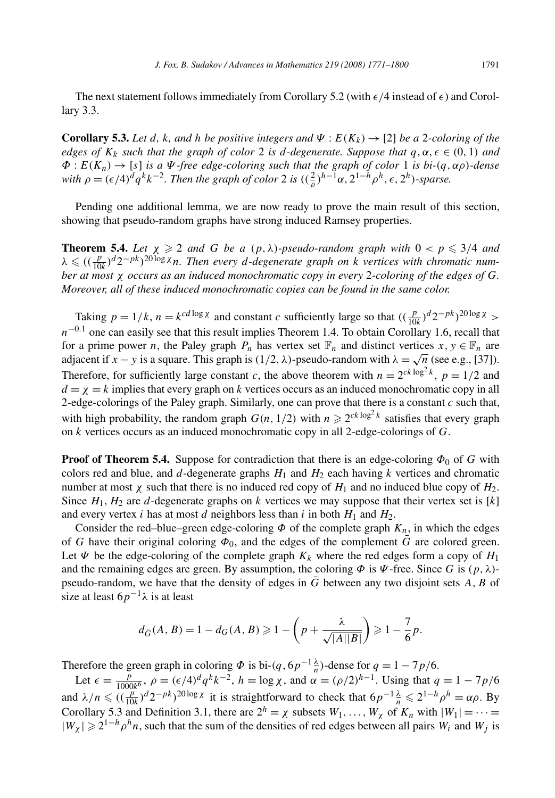The next statement follows immediately from Corollary 5.2 (with  $\epsilon/4$  instead of  $\epsilon$ ) and Corollary 3.3.

**Corollary 5.3.** Let *d*, *k*, and *h be positive integers and*  $\Psi$  :  $E(K_k) \to [2]$  *be a* 2*-coloring of the edges of*  $K_k$  *such that the graph of color* 2 *is d*-degenerate. Suppose that  $q, \alpha, \epsilon \in (0, 1)$  and *Φ* : *E(Kn)* → [*s*] *is a Ψ -free edge-coloring such that the graph of color* 1 *is bi-(q, αρ)-dense with*  $\rho = (\epsilon/4)^d q^k k^{-2}$ . Then the graph of color 2 is  $((\frac{2}{\rho})^{h-1} \alpha, 2^{1-h} \rho^h, \epsilon, 2^h)$ -sparse.

Pending one additional lemma, we are now ready to prove the main result of this section, showing that pseudo-random graphs have strong induced Ramsey properties.

**Theorem 5.4.** Let  $\chi \geq 2$  and G be a  $(p, \lambda)$ -pseudo-random graph with  $0 < p \leq 3/4$  and  $\lambda \leq ((\frac{p}{10k})^d 2^{-pk})^{20 \log \chi}$  *n. Then every d-degenerate graph on k vertices with chromatic number at most χ occurs as an induced monochromatic copy in every* 2*-coloring of the edges of G. Moreover, all of these induced monochromatic copies can be found in the same color.*

Taking  $p = 1/k$ ,  $n = k^{cd \log x}$  and constant *c* sufficiently large so that  $((\frac{p}{10k})^d 2^{-pk})^{20 \log x}$  $n^{-0.1}$  one can easily see that this result implies Theorem 1.4. To obtain Corollary 1.6, recall that for a prime power *n*, the Paley graph  $P_n$  has vertex set  $\mathbb{F}_n$  and distinct vertices  $x, y \in \mathbb{F}_n$  are adjacent if *x* − *y* is a square. This graph is  $(1/2, \lambda)$ -pseudo-random with  $\lambda = \sqrt{n}$  (see e.g., [37]). Therefore, for sufficiently large constant *c*, the above theorem with  $n = 2^{ck \log^2 k}$ ,  $p = 1/2$  and  $d = \chi = k$  implies that every graph on *k* vertices occurs as an induced monochromatic copy in all 2-edge-colorings of the Paley graph. Similarly, one can prove that there is a constant *c* such that, with high probability, the random graph  $G(n, 1/2)$  with  $n \ge 2^{ck \log^2 k}$  satisfies that every graph on *k* vertices occurs as an induced monochromatic copy in all 2-edge-colorings of *G*.

**Proof of Theorem 5.4.** Suppose for contradiction that there is an edge-coloring  $\Phi_0$  of *G* with colors red and blue, and  $d$ -degenerate graphs  $H_1$  and  $H_2$  each having  $k$  vertices and chromatic number at most *χ* such that there is no induced red copy of  $H_1$  and no induced blue copy of  $H_2$ . Since  $H_1, H_2$  are *d*-degenerate graphs on *k* vertices we may suppose that their vertex set is [*k*] and every vertex *i* has at most *d* neighbors less than *i* in both  $H_1$  and  $H_2$ .

Consider the red–blue–green edge-coloring  $\Phi$  of the complete graph  $K_n$ , in which the edges of *G* have their original coloring  $\Phi_0$ , and the edges of the complement *G* are colored green. Let  $\Psi$  be the edge-coloring of the complete graph  $K_k$  where the red edges form a copy of  $H_1$ and the remaining edges are green. By assumption, the coloring  $\Phi$  is  $\Psi$ -free. Since *G* is  $(p, \lambda)$ pseudo-random, we have that the density of edges in *G*¯ between any two disjoint sets *A,B* of size at least  $6p^{-1}\lambda$  is at least

$$
d_{\tilde{G}}(A, B) = 1 - d_G(A, B) \ge 1 - \left(p + \frac{\lambda}{\sqrt{|A||B|}}\right) \ge 1 - \frac{7}{6}p.
$$

Therefore the green graph in coloring  $\Phi$  is bi- $(q, 6p^{-1} \frac{\lambda}{n})$ -dense for  $q = 1 - 7p/6$ .

Let  $\epsilon = \frac{p}{1000k^6}$ ,  $\rho = (\epsilon/4)^d q^k k^{-2}$ ,  $h = \log \chi$ , and  $\alpha = (\rho/2)^{h-1}$ . Using that  $q = 1 - 7p/6$ and  $\lambda/n \leqslant \left( \left( \frac{p}{10k} \right)^d 2^{-pk} \right)^{20 \log \chi}$  it is straightforward to check that  $6p^{-1} \frac{\lambda}{n} \leqslant 2^{1-h} \rho^h = \alpha \rho$ . By Corollary 5.3 and Definition 3.1, there are  $2^h = \chi$  subsets  $W_1, \ldots, W_\chi$  of  $K_n$  with  $|W_1| = \cdots =$  $|W_\chi|$  ≥ 2<sup>1−*h*</sup> $\rho$ <sup>*h*</sup>*n*, such that the sum of the densities of red edges between all pairs *W<sub>i</sub>* and *W<sub>j</sub>* is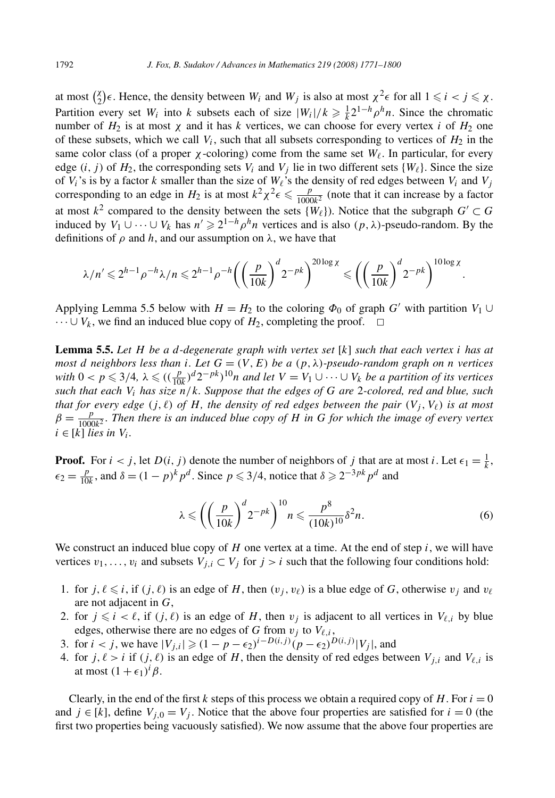at most  $\binom{\chi}{2} \epsilon$ . Hence, the density between  $W_i$  and  $W_j$  is also at most  $\chi^2 \epsilon$  for all  $1 \leq i < j \leq \chi$ . Partition every set *W<sub>i</sub>* into *k* subsets each of size  $|W_i|/k \ge \frac{1}{k} 2^{1-h} \rho^h n$ . Since the chromatic number of  $H_2$  is at most  $\chi$  and it has k vertices, we can choose for every vertex *i* of  $H_2$  one of these subsets, which we call  $V_i$ , such that all subsets corresponding to vertices of  $H_2$  in the same color class (of a proper  $\chi$ -coloring) come from the same set  $W_{\ell}$ . In particular, for every edge  $(i, j)$  of  $H_2$ , the corresponding sets  $V_i$  and  $V_j$  lie in two different sets  $\{W_\ell\}$ . Since the size of  $V_i$ 's is by a factor  $k$  smaller than the size of  $W_\ell$ 's the density of red edges between  $V_i$  and  $V_j$ corresponding to an edge in  $H_2$  is at most  $k^2 \chi^2 \epsilon \leq \frac{p}{1000k^2}$  (note that it can increase by a factor at most  $k^2$  compared to the density between the sets  $\{W_\ell\}$ ). Notice that the subgraph  $G' \subset G$ induced by *V*<sub>1</sub> ∪ ··· ∪ *V<sub>k</sub>* has  $n' \ge 2^{1-h} \rho^h n$  vertices and is also  $(p, \lambda)$ -pseudo-random. By the definitions of  $\rho$  and  $h$ , and our assumption on  $\lambda$ , we have that

$$
\lambda/n' \leq 2^{h-1} \rho^{-h} \lambda/n \leq 2^{h-1} \rho^{-h} \left( \left( \frac{p}{10k} \right)^d 2^{-pk} \right)^{20\log \chi} \leq \left( \left( \frac{p}{10k} \right)^d 2^{-pk} \right)^{10\log \chi}.
$$

Applying Lemma 5.5 below with  $H = H_2$  to the coloring  $\Phi_0$  of graph *G'* with partition  $V_1 \cup$  $\cdots \cup V_k$ , we find an induced blue copy of  $H_2$ , completing the proof.  $\Box$ 

**Lemma 5.5.** *Let H be a d-degenerate graph with vertex set* [*k*] *such that each vertex i has at most d neighbors less than i. Let*  $G = (V, E)$  *be a*  $(p, \lambda)$ *-pseudo-random graph on n vertices*  $with\ 0 < p \leq 3/4$ ,  $\lambda \leq ((\frac{p}{10k})^d 2^{-pk})^{10}n$  *and let*  $V = V_1 \cup \cdots \cup V_k$  *be a partition of its vertices such that each Vi has size n/k. Suppose that the edges of G are* 2*-colored, red and blue, such that for every edge*  $(j, \ell)$  *of H, the density of red edges between the pair*  $(V_i, V_\ell)$  *is at most*  $\beta = \frac{p}{1000k^2}$ . Then there is an induced blue copy of *H* in *G* for which the image of every vertex  $i \in [k]$  *lies in*  $V_i$ *.* 

**Proof.** For  $i < j$ , let  $D(i, j)$  denote the number of neighbors of *j* that are at most *i*. Let  $\epsilon_1 = \frac{1}{k}$ ,  $\epsilon_2 = \frac{p}{10k}$ , and  $\delta = (1 - p)^k p^d$ . Since  $p \leq 3/4$ , notice that  $\delta \geq 2^{-3pk} p^d$  and

$$
\lambda \leqslant \left( \left( \frac{p}{10k} \right)^d 2^{-pk} \right)^{10} n \leqslant \frac{p^8}{(10k)^{10}} \delta^2 n. \tag{6}
$$

We construct an induced blue copy of  $H$  one vertex at a time. At the end of step  $i$ , we will have vertices  $v_1, \ldots, v_i$  and subsets  $V_{j,i} \subset V_j$  for  $j > i$  such that the following four conditions hold:

- 1. for  $j, \ell \leq i$ , if  $(j, \ell)$  is an edge of *H*, then  $(v_j, v_\ell)$  is a blue edge of *G*, otherwise  $v_j$  and  $v_\ell$ are not adjacent in *G*,
- 2. for  $j \leq i < \ell$ , if  $(j, \ell)$  is an edge of *H*, then  $v_j$  is adjacent to all vertices in  $V_{\ell, i}$  by blue edges, otherwise there are no edges of *G* from  $v_i$  to  $V_{\ell,i}$ ,
- 3. for  $i < j$ , we have  $|V_{j,i}| \geq (1 p \epsilon_2)^{i D(i,j)}(p \epsilon_2)^{D(i,j)}|V_j|$ , and
- 4. for  $j, \ell > i$  if  $(j, \ell)$  is an edge of *H*, then the density of red edges between  $V_{i,i}$  and  $V_{\ell,i}$  is at most  $(1 + \epsilon_1)^i \beta$ .

Clearly, in the end of the first *k* steps of this process we obtain a required copy of *H*. For  $i = 0$ and  $j \in [k]$ , define  $V_{i,0} = V_i$ . Notice that the above four properties are satisfied for  $i = 0$  (the first two properties being vacuously satisfied). We now assume that the above four properties are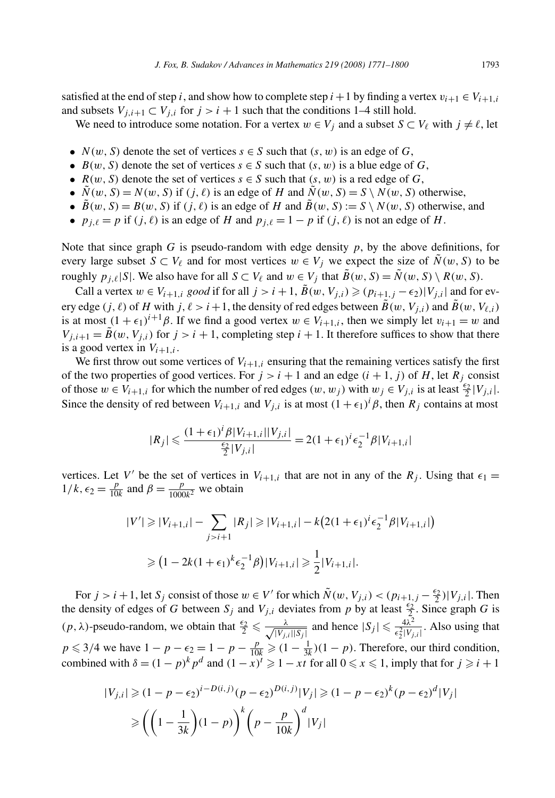satisfied at the end of step *i*, and show how to complete step  $i + 1$  by finding a vertex  $v_{i+1} \in V_{i+1,i}$ and subsets  $V_{j,i+1} \subset V_{j,i}$  for  $j > i+1$  such that the conditions 1–4 still hold.

We need to introduce some notation. For a vertex  $w \in V_j$  and a subset  $S \subset V_\ell$  with  $j \neq \ell$ , let

- $N(w, S)$  denote the set of vertices  $s \in S$  such that  $(s, w)$  is an edge of *G*,
- $B(w, S)$  denote the set of vertices  $s \in S$  such that  $(s, w)$  is a blue edge of *G*,
- $R(w, S)$  denote the set of vertices  $s \in S$  such that  $(s, w)$  is a red edge of *G*,
- $\overline{N}(w, S) = N(w, S)$  if  $(j, \ell)$  is an edge of *H* and  $\overline{N}(w, S) = S \setminus N(w, S)$  otherwise,
- $\tilde{B}(w, S) = B(w, S)$  if  $(j, \ell)$  is an edge of *H* and  $\tilde{B}(w, S) := S \setminus N(w, S)$  otherwise, and
- $p_{i,\ell} = p$  if  $(j,\ell)$  is an edge of *H* and  $p_{i,\ell} = 1 p$  if  $(j,\ell)$  is not an edge of *H*.

Note that since graph *G* is pseudo-random with edge density *p*, by the above definitions, for every large subset  $S \subset V_\ell$  and for most vertices  $w \in V_j$  we expect the size of  $\tilde{N}(w, S)$  to be roughly  $p_{i,\ell}|S|$ . We also have for all  $S \subset V_\ell$  and  $w \in V_j$  that  $\tilde{B}(w, S) = \tilde{N}(w, S) \setminus R(w, S)$ .

Call a vertex  $w \in V_{i+1,i}$  *good* if for all  $j > i+1$ ,  $\tilde{B}(w, V_{j,i}) \geq (p_{i+1,j} - \epsilon_2)|V_{j,i}|$  and for every edge  $(j, \ell)$  of *H* with  $j, \ell > i + 1$ , the density of red edges between  $\tilde{B}(w, V_{i,i})$  and  $\tilde{B}(w, V_{\ell,i})$ is at most  $(1 + \epsilon_1)^{i+1}\beta$ . If we find a good vertex  $w \in V_{i+1,i}$ , then we simply let  $v_{i+1} = w$  and  $V_{j,i+1} = \tilde{B}(w, V_{j,i})$  for  $j > i + 1$ , completing step  $i + 1$ . It therefore suffices to show that there is a good vertex in  $V_{i+1,i}$ .

We first throw out some vertices of  $V_{i+1,i}$  ensuring that the remaining vertices satisfy the first of the two properties of good vertices. For  $j > i + 1$  and an edge  $(i + 1, j)$  of *H*, let  $R_j$  consist of those  $w \in V_{i+1,i}$  for which the number of red edges  $(w, w_j)$  with  $w_j \in V_{j,i}$  is at least  $\frac{\epsilon_2}{2} |V_{j,i}|$ . Since the density of red between  $V_{i+1,i}$  and  $V_{j,i}$  is at most  $(1 + \epsilon_1)^i \beta$ , then  $R_j$  contains at most

$$
|R_j| \leq \frac{(1+\epsilon_1)^i \beta |V_{i+1,i}| |V_{j,i}|}{\frac{\epsilon_2}{2} |V_{j,i}|} = 2(1+\epsilon_1)^i \epsilon_2^{-1} \beta |V_{i+1,i}|
$$

vertices. Let *V'* be the set of vertices in  $V_{i+1,i}$  that are not in any of the  $R_j$ . Using that  $\epsilon_1 =$  $1/k$ ,  $\epsilon_2 = \frac{p}{10k}$  and  $\beta = \frac{p}{1000k^2}$  we obtain

$$
|V'| \ge |V_{i+1,i}| - \sum_{j>i+1} |R_j| \ge |V_{i+1,i}| - k(2(1+\epsilon_1)^i \epsilon_2^{-1} \beta |V_{i+1,i}|)
$$
  
\n
$$
\ge (1 - 2k(1+\epsilon_1)^k \epsilon_2^{-1} \beta) |V_{i+1,i}| \ge \frac{1}{2} |V_{i+1,i}|.
$$

For  $j > i + 1$ , let  $S_j$  consist of those  $w \in V'$  for which  $\tilde{N}(w, V_{j,i}) < (p_{i+1,j} - \frac{\epsilon_2}{2})|V_{j,i}|$ . Then the density of edges of *G* between  $S_j$  and  $V_{j,i}$  deviates from *p* by at least  $\frac{\epsilon_2}{2}$ . Since graph *G* is  $(p, \lambda)$ -pseudo-random, we obtain that  $\frac{\epsilon_2}{2} \leq \frac{\lambda}{\sqrt{|V_i|}}$  $\frac{\lambda}{|V_{j,i}| |S_j|}$  and hence  $|S_j| \leq \frac{4\lambda^2}{\epsilon_2^2 |V_{j,i}|}$ . Also using that  $p \leq 3/4$  we have  $1 - p - \epsilon_2 = 1 - p - \frac{p}{10k} \geq (1 - \frac{1}{3k})(1 - p)$ . Therefore, our third condition, combined with  $\delta = (1 - p)^k p^d$  and  $(1 - x)^t \geq 1 - xt$  for all  $0 \leq x \leq 1$ , imply that for  $j \geq i + 1$ 

$$
|V_{j,i}| \ge (1 - p - \epsilon_2)^{i - D(i,j)}(p - \epsilon_2)^{D(i,j)}|V_j| \ge (1 - p - \epsilon_2)^k (p - \epsilon_2)^d |V_j|
$$
  
\n
$$
\ge \left(\left(1 - \frac{1}{3k}\right)(1 - p)\right)^k \left(p - \frac{p}{10k}\right)^d |V_j|
$$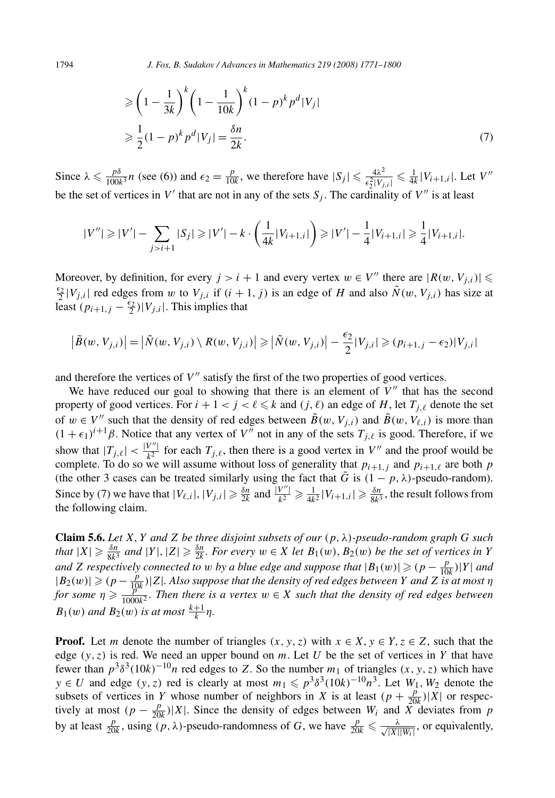$$
\geqslant \left(1 - \frac{1}{3k}\right)^k \left(1 - \frac{1}{10k}\right)^k (1 - p)^k p^d |V_j|
$$
  

$$
\geqslant \frac{1}{2} (1 - p)^k p^d |V_j| = \frac{\delta n}{2k}.
$$
 (7)

Since  $\lambda \le \frac{p\delta}{100k^3}n$  (see (6)) and  $\epsilon_2 = \frac{p}{10k}$ , we therefore have  $|S_j| \le \frac{4\lambda^2}{\epsilon_2^2|V_{j,i}|} \le \frac{1}{4k}|V_{i+1,i}|$ . Let  $V''$ be the set of vertices in  $V'$  that are not in any of the sets  $S_i$ . The cardinality of  $V''$  is at least

$$
|V''| \geq |V'| - \sum_{j>i+1} |S_j| \geq |V'| - k \cdot \left(\frac{1}{4k}|V_{i+1,i}|\right) \geq |V'| - \frac{1}{4}|V_{i+1,i}| \geq \frac{1}{4}|V_{i+1,i}|.
$$

Moreover, by definition, for every  $j > i + 1$  and every vertex  $w \in V''$  there are  $|R(w, V_{j,i})| \leq$  $\frac{\epsilon_2}{2}$  |*V<sub>j,i</sub>*| red edges from *w* to *V<sub>j,i</sub>* if  $(i + 1, j)$  is an edge of *H* and also  $\tilde{N}(w, V_{j,i})$  has size at least  $(p_{i+1,j} - \frac{\epsilon_2}{2})|V_{j,i}|$ . This implies that

$$
\left|\tilde{B}(w,V_{j,i})\right| = \left|\tilde{N}(w,V_{j,i})\setminus R(w,V_{j,i})\right| \geq \left|\tilde{N}(w,V_{j,i})\right| - \frac{\epsilon_2}{2}|V_{j,i}| \geq (p_{i+1,j} - \epsilon_2)|V_{j,i}|
$$

and therefore the vertices of  $V''$  satisfy the first of the two properties of good vertices.

We have reduced our goal to showing that there is an element of  $V''$  that has the second property of good vertices. For  $i + 1 < j < \ell \leq k$  and  $(j, \ell)$  an edge of *H*, let  $T_{j, \ell}$  denote the set of  $w \in V''$  such that the density of red edges between  $\tilde{B}(w, V_{j,i})$  and  $\tilde{B}(w, V_{\ell,i})$  is more than  $(1 + \epsilon_1)^{i+1}\beta$ . Notice that any vertex of *V''* not in any of the sets  $T_{j,\ell}$  is good. Therefore, if we show that  $|T_{j,\ell}| < \frac{|V''|}{k^2}$  for each  $T_{j,\ell}$ , then there is a good vertex in  $V''$  and the proof would be complete. To do so we will assume without loss of generality that  $p_{i+1,i}$  and  $p_{i+1,\ell}$  are both  $p$ (the other 3 cases can be treated similarly using the fact that  $\bar{G}$  is  $(1 - p, \lambda)$ -pseudo-random). Since by (7) we have that  $|V_{\ell,i}|, |V_{j,i}| \ge \frac{\delta n}{2k}$  and  $\frac{|V''|}{k^2} \ge \frac{1}{4k^2} |V_{i+1,i}| \ge \frac{\delta n}{8k^3}$ , the result follows from the following claim.

**Claim 5.6.** *Let X, Y and Z be three disjoint subsets of our (p, λ)-pseudo-random graph G such* that  $|X| \geq \frac{\delta n}{8k^3}$  and  $|Y|, |Z| \geq \frac{\delta n}{2k}$ . For every  $w \in X$  let  $B_1(w), B_2(w)$  be the set of vertices in Y *and Z respectively connected to <i>w by a blue edge and suppose that*  $|B_1(w)| \geq (p - \frac{p}{10k})|Y|$  *and*  $|B_2(w)| \ge (p - \frac{p}{10k})|Z|$ . Also suppose that the density of red edges between *Y* and *Z* is at most  $\eta$ *for some*  $\eta \ge \frac{p^k}{1000k^2}$ . Then there is a vertex  $w \in X$  such that the density of red edges between  $B_1(w)$  *and*  $B_2(w)$  *is at most*  $\frac{k+1}{k}\eta$ .

**Proof.** Let *m* denote the number of triangles  $(x, y, z)$  with  $x \in X, y \in Y, z \in Z$ , such that the edge  $(y, z)$  is red. We need an upper bound on *m*. Let *U* be the set of vertices in *Y* that have fewer than  $p^3 \delta^3 (10k)^{-10} n$  red edges to *Z*. So the number  $m_1$  of triangles  $(x, y, z)$  which have *y* ∈ *U* and edge  $(y, z)$  red is clearly at most  $m_1 \text{ ≤ } p^3 \delta^3 (10k)^{-10} n^3$ . Let  $W_1, W_2$  denote the subsets of vertices in *Y* whose number of neighbors in *X* is at least  $(p + \frac{p}{20k})|X|$  or respectively at most  $(p - \frac{p}{20k})|X|$ . Since the density of edges between  $W_i$  and  $\overline{X}$  deviates from *p* by at least  $\frac{p}{20k}$ , using  $(p, \lambda)$ -pseudo-randomness of *G*, we have  $\frac{p}{20k} \leq \frac{\lambda}{\sqrt{|X|}}$  $\frac{\lambda}{|X||W_i|}$ , or equivalently,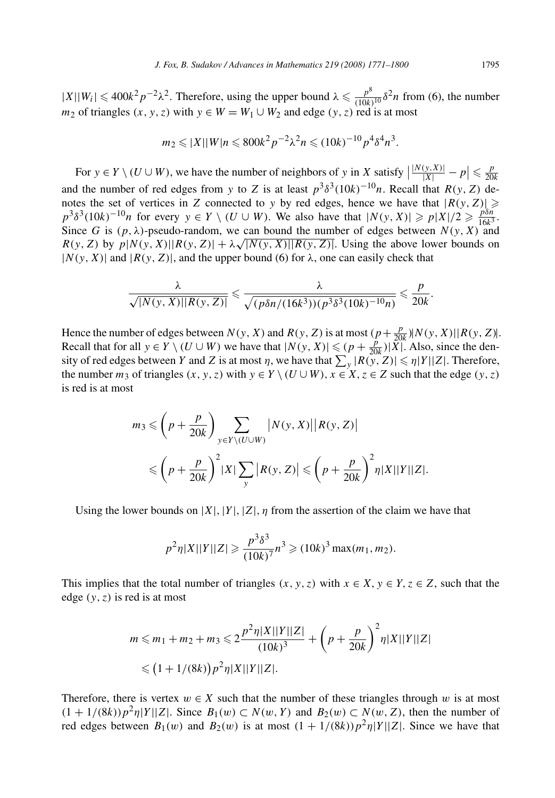$|X||W_i| \leq 400k^2p^{-2}\lambda^2$ . Therefore, using the upper bound  $\lambda \leq \frac{p^8}{(10k)^{10}}\delta^2n$  from (6), the number *m*<sub>2</sub> of triangles  $(x, y, z)$  with  $y \in W = W_1 \cup W_2$  and edge  $(y, z)$  red is at most

$$
m_2 \leqslant |X||W|n \leqslant 800k^2p^{-2}\lambda^2n \leqslant (10k)^{-10}p^4\delta^4n^3.
$$

For  $y \in Y \setminus (U \cup W)$ , we have the number of neighbors of *y* in *X* satisfy  $\Big|$  $\frac{|N(y,X)|}{|X|} - p \leq \frac{p}{20k}$ and the number of red edges from *y* to *Z* is at least  $p^3 \delta^3 (10k)^{-10} n$ . Recall that  $R(y, Z)$  denotes the set of vertices in *Z* connected to *y* by red edges, hence we have that  $|R(y, Z)| \geq$  $p^3 \delta^3 (10k)^{-10} n$  for every  $y \in Y \setminus (U \cup W)$ . We also have that  $|N(y, X)| \geqslant p|X|/2 \geqslant \frac{p\delta n}{16k^3}$ . Since *G* is  $(p, \lambda)$ -pseudo-random, we can bound the number of edges between  $N(y, X)$  and *R(y, Z)* by  $p|N(y, X)|R(y, Z)| + \lambda \sqrt{|N(y, X)||R(y, Z)|}$ . Using the above lower bounds on  $|N(y, X)|$  and  $|R(y, Z)|$ , and the upper bound (6) for  $\lambda$ , one can easily check that

$$
\frac{\lambda}{\sqrt{|N(y, X)||R(y, Z)|}} \leq \frac{\lambda}{\sqrt{(p\delta n/(16k^3))(p^3\delta^3(10k)^{-10}n)}} \leq \frac{p}{20k}.
$$

Hence the number of edges between  $N(y, X)$  and  $R(y, Z)$  is at most  $\left(p + \frac{p}{20k}\right) \left| N(y, X) \right| \left| R(y, Z) \right|$ . Recall that for all  $y \in Y \setminus (U \cup W)$  we have that  $|N(y, X)| \le (p + \frac{p}{20k}) |\widetilde{X}|$ . Also, since the density of red edges between *Y* and *Z* is at most  $\eta$ , we have that  $\sum_{y} |R(y, Z)| \leq \eta |Y||Z|$ . Therefore, the number  $m_3$  of triangles  $(x, y, z)$  with  $y \in Y \setminus (U \cup W)$ ,  $x \in X$ ,  $z \in Z$  such that the edge  $(y, z)$ is red is at most

$$
m_3 \leqslant \left(p + \frac{p}{20k}\right) \sum_{y \in Y \setminus (U \cup W)} |N(y, X)| |R(y, Z)|
$$
  
 
$$
\leqslant \left(p + \frac{p}{20k}\right)^2 |X| \sum_{y} |R(y, Z)| \leqslant \left(p + \frac{p}{20k}\right)^2 \eta |X||Y||Z|.
$$

Using the lower bounds on  $|X|$ ,  $|Y|$ ,  $|Z|$ ,  $\eta$  from the assertion of the claim we have that

$$
p^2 \eta |X||Y||Z| \ge \frac{p^3 \delta^3}{(10k)^7} n^3 \ge (10k)^3 \max(m_1, m_2).
$$

This implies that the total number of triangles  $(x, y, z)$  with  $x \in X$ ,  $y \in Y$ ,  $z \in Z$ , such that the edge *(y, z)* is red is at most

$$
m \leq m_1 + m_2 + m_3 \leq 2 \frac{p^2 \eta |X||Y||Z|}{(10k)^3} + \left(p + \frac{p}{20k}\right)^2 \eta |X||Y||Z|
$$
  

$$
\leq (1 + 1/(8k)) p^2 \eta |X||Y||Z|.
$$

Therefore, there is vertex  $w \in X$  such that the number of these triangles through *w* is at most  $(1 + 1/(8k))p^2\eta|Y||Z|$ . Since  $B_1(w) \subset N(w, Y)$  and  $B_2(w) \subset N(w, Z)$ , then the number of red edges between  $B_1(w)$  and  $B_2(w)$  is at most  $(1 + 1/(8k))p^2\eta|Y||Z|$ . Since we have that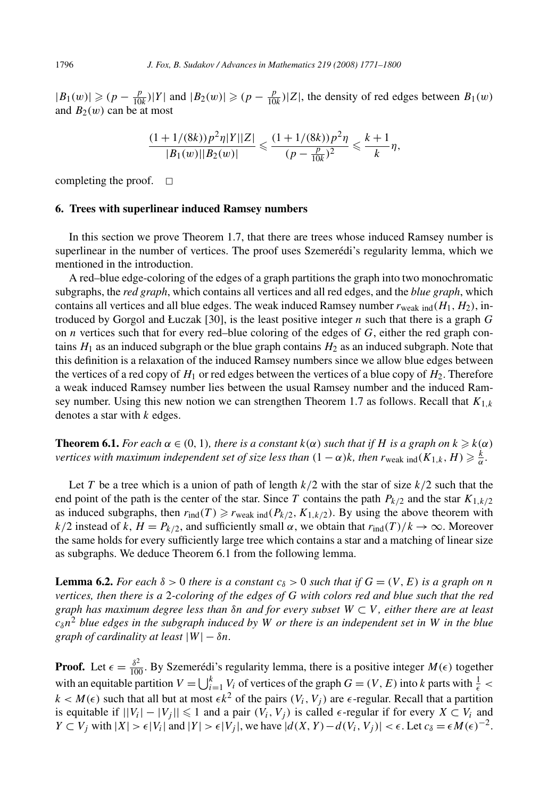$|B_1(w)|$  ≥  $(p - \frac{p}{10k})|Y|$  and  $|B_2(w)|$  ≥  $(p - \frac{p}{10k})|Z|$ , the density of red edges between  $B_1(w)$ and  $B_2(w)$  can be at most

$$
\frac{(1+1/(8k))p^2\eta|Y||Z|}{|B_1(w)||B_2(w)|} \leq \frac{(1+1/(8k))p^2\eta}{(p-\frac{p}{10k})^2} \leq \frac{k+1}{k}\eta,
$$

completing the proof.  $\square$ 

#### **6. Trees with superlinear induced Ramsey numbers**

In this section we prove Theorem 1.7, that there are trees whose induced Ramsey number is superlinear in the number of vertices. The proof uses Szemerédi's regularity lemma, which we mentioned in the introduction.

A red–blue edge-coloring of the edges of a graph partitions the graph into two monochromatic subgraphs, the *red graph*, which contains all vertices and all red edges, and the *blue graph*, which contains all vertices and all blue edges. The weak induced Ramsey number  $r_{\text{weak ind}}(H_1, H_2)$ , introduced by Gorgol and Łuczak [30], is the least positive integer *n* such that there is a graph *G* on *n* vertices such that for every red–blue coloring of the edges of *G*, either the red graph contains  $H_1$  as an induced subgraph or the blue graph contains  $H_2$  as an induced subgraph. Note that this definition is a relaxation of the induced Ramsey numbers since we allow blue edges between the vertices of a red copy of  $H_1$  or red edges between the vertices of a blue copy of  $H_2$ . Therefore a weak induced Ramsey number lies between the usual Ramsey number and the induced Ramsey number. Using this new notion we can strengthen Theorem 1.7 as follows. Recall that  $K_{1,k}$ denotes a star with *k* edges.

**Theorem 6.1.** *For each*  $\alpha \in (0, 1)$ *, there is a constant*  $k(\alpha)$  *such that if H is a graph on*  $k \geq k(\alpha)$ *vertices with maximum independent set of size less than*  $(1 - \alpha)k$ *, then*  $r_{\text{weak ind}}(K_{1,k},H) \geqslant \frac{k}{\alpha}$ *.* 

Let *T* be a tree which is a union of path of length *k/*2 with the star of size *k/*2 such that the end point of the path is the center of the star. Since *T* contains the path  $P_{k/2}$  and the star  $K_{1,k/2}$ as induced subgraphs, then  $r_{\text{ind}}(T) \geq r_{\text{weak ind}}(P_{k/2}, K_{1,k/2})$ . By using the above theorem with *k/*2 instead of *k*,  $H = P_{k/2}$ , and sufficiently small  $\alpha$ , we obtain that  $r_{\text{ind}}(T)/k \to \infty$ . Moreover the same holds for every sufficiently large tree which contains a star and a matching of linear size as subgraphs. We deduce Theorem 6.1 from the following lemma.

**Lemma 6.2.** *For each*  $\delta > 0$  *there is a constant*  $c_{\delta} > 0$  *such that if*  $G = (V, E)$  *is a graph on n vertices, then there is a* 2*-coloring of the edges of G with colors red and blue such that the red graph has maximum degree less than δn and for every subset W* ⊂ *V , either there are at least cδn*<sup>2</sup> *blue edges in the subgraph induced by W or there is an independent set in W in the blue graph of cardinality at least*  $|W| - \delta n$ .

**Proof.** Let  $\epsilon = \frac{\delta^2}{100}$ . By Szemerédi's regularity lemma, there is a positive integer  $M(\epsilon)$  together with an equitable partition  $V = \bigcup_{i=1}^{k} V_i$  of vertices of the graph  $G = (V, E)$  into *k* parts with  $\frac{1}{\epsilon}$  $k < M(\epsilon)$  such that all but at most  $\epsilon k^2$  of the pairs  $(V_i, V_j)$  are  $\epsilon$ -regular. Recall that a partition is equitable if  $||V_i| - |V_j|| \le 1$  and a pair  $(V_i, V_j)$  is called  $\epsilon$ -regular if for every  $X \subset V_i$  and  $Y \subset V_j$  with  $|X| > \epsilon |V_i|$  and  $|Y| > \epsilon |V_j|$ , we have  $|d(X, Y) - d(V_i, V_j)| < \epsilon$ . Let  $c_\delta = \epsilon M(\epsilon)^{-2}$ .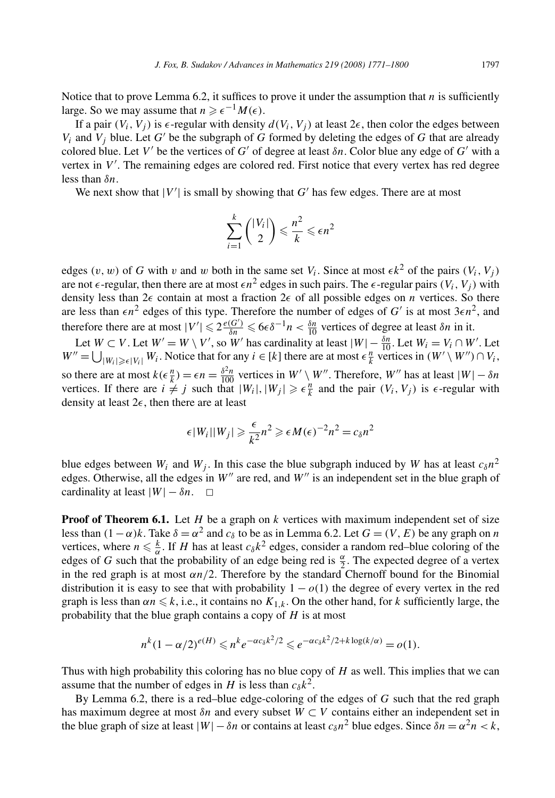Notice that to prove Lemma 6.2, it suffices to prove it under the assumption that  $n$  is sufficiently large. So we may assume that  $n \geqslant \epsilon^{-1} M(\epsilon)$ .

If a pair  $(V_i, V_j)$  is  $\epsilon$ -regular with density  $d(V_i, V_j)$  at least  $2\epsilon$ , then color the edges between  $V_i$  and  $V_j$  blue. Let  $G'$  be the subgraph of  $G$  formed by deleting the edges of  $G$  that are already colored blue. Let  $V'$  be the vertices of  $G'$  of degree at least  $\delta n$ . Color blue any edge of  $G'$  with a vertex in V'. The remaining edges are colored red. First notice that every vertex has red degree less than *δn*.

We next show that  $|V'|$  is small by showing that  $G'$  has few edges. There are at most

$$
\sum_{i=1}^k \binom{|V_i|}{2} \leqslant \frac{n^2}{k} \leqslant \epsilon n^2
$$

edges  $(v, w)$  of *G* with *v* and *w* both in the same set  $V_i$ . Since at most  $\epsilon k^2$  of the pairs  $(V_i, V_j)$ are not  $\epsilon$ -regular, then there are at most  $\epsilon n^2$  edges in such pairs. The  $\epsilon$ -regular pairs  $(V_i, V_j)$  with density less than  $2\epsilon$  contain at most a fraction  $2\epsilon$  of all possible edges on *n* vertices. So there are less than  $\epsilon n^2$  edges of this type. Therefore the number of edges of *G'* is at most  $3\epsilon n^2$ , and therefore there are at most  $|V'| \leq 2 \frac{e(G')}{\delta n} \leq 6\epsilon \delta^{-1} n < \frac{\delta n}{10}$  vertices of degree at least  $\delta n$  in it.

Let  $W \subset V$ . Let  $W' = W \setminus V'$ , so  $W'$  has cardinality at least  $|W| - \frac{\delta n}{10}$ . Let  $W_i = V_i \cap W'$ . Let  $W'' = \bigcup_{|W_i| \geqslant \epsilon |V_i|} W_i$ . Notice that for any  $i \in [k]$  there are at most  $\epsilon \frac{n}{k}$  vertices in  $(W' \setminus W'') \cap V_i$ , so there are at most  $k(\epsilon \frac{n}{k}) = \epsilon n = \frac{\delta^2 n}{100}$  vertices in  $W' \setminus W''$ . Therefore,  $W''$  has at least  $|W| - \delta n$ vertices. If there are  $i \neq j$  such that  $|W_i|, |W_j| \geq \epsilon \frac{n}{k}$  and the pair  $(V_i, V_j)$  is  $\epsilon$ -regular with density at least 2*-*, then there are at least

$$
\epsilon |W_i||W_j| \geqslant \frac{\epsilon}{k^2} n^2 \geqslant \epsilon M(\epsilon)^{-2} n^2 = c_\delta n^2
$$

blue edges between  $W_i$  and  $W_j$ . In this case the blue subgraph induced by *W* has at least  $c_0n^2$ edges. Otherwise, all the edges in W'' are red, and W'' is an independent set in the blue graph of cardinality at least  $|W| - \delta n$ .  $\Box$ 

**Proof of Theorem 6.1.** Let *H* be a graph on *k* vertices with maximum independent set of size less than  $(1-\alpha)k$ . Take  $\delta = \alpha^2$  and  $c_\delta$  to be as in Lemma 6.2. Let  $G = (V, E)$  be any graph on *n* vertices, where  $n \leq \frac{k}{\alpha}$ . If *H* has at least  $c_{\delta}k^2$  edges, consider a random red–blue coloring of the edges of *G* such that the probability of an edge being red is  $\frac{\alpha}{2}$ . The expected degree of a vertex in the red graph is at most  $\alpha n/2$ . Therefore by the standard Chernoff bound for the Binomial distribution it is easy to see that with probability  $1 - o(1)$  the degree of every vertex in the red graph is less than  $\alpha n \leq k$ , i.e., it contains no  $K_{1,k}$ . On the other hand, for *k* sufficiently large, the probability that the blue graph contains a copy of *H* is at most

$$
n^k(1-\alpha/2)^{e(H)} \leqslant n^k e^{-\alpha c_\delta k^2/2} \leqslant e^{-\alpha c_\delta k^2/2 + k \log(k/\alpha)} = o(1).
$$

Thus with high probability this coloring has no blue copy of *H* as well. This implies that we can assume that the number of edges in *H* is less than  $c_{\delta}k^2$ .

By Lemma 6.2, there is a red–blue edge-coloring of the edges of *G* such that the red graph has maximum degree at most *δn* and every subset *W* ⊂ *V* contains either an independent set in the blue graph of size at least  $|W| - \delta n$  or contains at least  $c_{\delta}n^2$  blue edges. Since  $\delta n = \alpha^2 n < k$ ,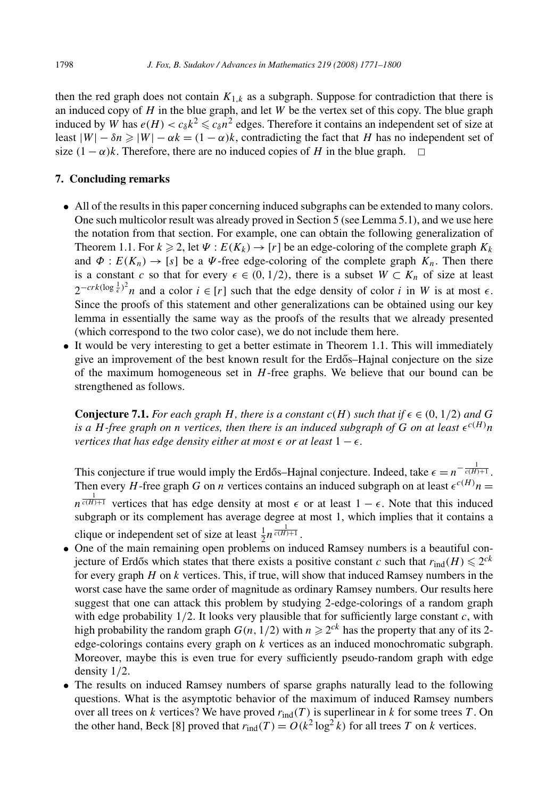then the red graph does not contain  $K_{1,k}$  as a subgraph. Suppose for contradiction that there is an induced copy of *H* in the blue graph, and let *W* be the vertex set of this copy. The blue graph induced by *W* has  $e(H) < c_\delta k^2 \leq c_\delta n^2$  edges. Therefore it contains an independent set of size at least  $|W| - \delta n \ge |W| - \alpha k = (1 - \alpha)k$ , contradicting the fact that *H* has no independent set of size  $(1 - \alpha)k$ . Therefore, there are no induced copies of *H* in the blue graph.

## **7. Concluding remarks**

- All of the results in this paper concerning induced subgraphs can be extended to many colors. One such multicolor result was already proved in Section 5 (see Lemma 5.1), and we use here the notation from that section. For example, one can obtain the following generalization of Theorem 1.1. For  $k \ge 2$ , let  $\Psi : E(K_k) \to [r]$  be an edge-coloring of the complete graph  $K_k$ and  $\Phi: E(K_n) \to [s]$  be a  $\Psi$ -free edge-coloring of the complete graph  $K_n$ . Then there is a constant *c* so that for every  $\epsilon \in (0, 1/2)$ , there is a subset  $W \subset K_n$  of size at least  $2^{-crk(\log\frac{1}{\epsilon})^2}$ *n* and a color  $i \in [r]$  such that the edge density of color *i* in *W* is at most  $\epsilon$ . Since the proofs of this statement and other generalizations can be obtained using our key lemma in essentially the same way as the proofs of the results that we already presented (which correspond to the two color case), we do not include them here.
- It would be very interesting to get a better estimate in Theorem 1.1. This will immediately give an improvement of the best known result for the Erdős–Hajnal conjecture on the size of the maximum homogeneous set in *H*-free graphs. We believe that our bound can be strengthened as follows.

**Conjecture 7.1.** For each graph H, there is a constant  $c(H)$  such that if  $\epsilon \in (0, 1/2)$  and G is a *H*-free graph on *n* vertices, then there is an induced subgraph of G on at least  $\epsilon^{c(H)}n$ *vertices that has edge density either at most*  $\epsilon$  *or at least*  $1 - \epsilon$ *.* 

This conjecture if true would imply the Erdős–Hajnal conjecture. Indeed, take  $\epsilon = n^{-\frac{1}{c(H)+1}}$ . Then every *H*-free graph *G* on *n* vertices contains an induced subgraph on at least  $\epsilon^{c(H)}n =$  $n^{\frac{1}{c(H)+1}}$  vertices that has edge density at most  $\epsilon$  or at least  $1 - \epsilon$ . Note that this induced subgraph or its complement has average degree at most 1, which implies that it contains a clique or independent set of size at least  $\frac{1}{2}n^{\frac{1}{c(H)+1}}$ .

- One of the main remaining open problems on induced Ramsey numbers is a beautiful conjecture of Erdős which states that there exists a positive constant *c* such that  $r_{\text{ind}}(H) \leqslant 2^{ck}$ for every graph *H* on *k* vertices. This, if true, will show that induced Ramsey numbers in the worst case have the same order of magnitude as ordinary Ramsey numbers. Our results here suggest that one can attack this problem by studying 2-edge-colorings of a random graph with edge probability 1*/*2. It looks very plausible that for sufficiently large constant *c*, with high probability the random graph  $G(n, 1/2)$  with  $n \ge 2^{ck}$  has the property that any of its 2edge-colorings contains every graph on *k* vertices as an induced monochromatic subgraph. Moreover, maybe this is even true for every sufficiently pseudo-random graph with edge density 1*/*2.
- The results on induced Ramsey numbers of sparse graphs naturally lead to the following questions. What is the asymptotic behavior of the maximum of induced Ramsey numbers over all trees on *k* vertices? We have proved *r*ind*(T )* is superlinear in *k* for some trees *T* . On the other hand, Beck [8] proved that  $r_{\text{ind}}(T) = O(k^2 \log^2 k)$  for all trees *T* on *k* vertices.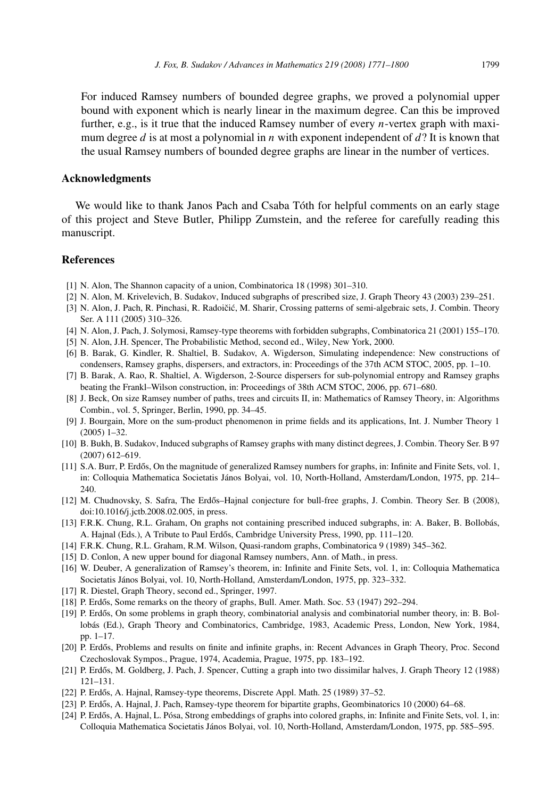For induced Ramsey numbers of bounded degree graphs, we proved a polynomial upper bound with exponent which is nearly linear in the maximum degree. Can this be improved further, e.g., is it true that the induced Ramsey number of every *n*-vertex graph with maximum degree *d* is at most a polynomial in *n* with exponent independent of *d*? It is known that the usual Ramsey numbers of bounded degree graphs are linear in the number of vertices.

#### **Acknowledgments**

We would like to thank Janos Pach and Csaba Tóth for helpful comments on an early stage of this project and Steve Butler, Philipp Zumstein, and the referee for carefully reading this manuscript.

# **References**

- [1] N. Alon, The Shannon capacity of a union, Combinatorica 18 (1998) 301–310.
- [2] N. Alon, M. Krivelevich, B. Sudakov, Induced subgraphs of prescribed size, J. Graph Theory 43 (2003) 239–251.
- [3] N. Alon, J. Pach, R. Pinchasi, R. Radoičić, M. Sharir, Crossing patterns of semi-algebraic sets, J. Combin. Theory Ser. A 111 (2005) 310–326.
- [4] N. Alon, J. Pach, J. Solymosi, Ramsey-type theorems with forbidden subgraphs, Combinatorica 21 (2001) 155–170.
- [5] N. Alon, J.H. Spencer, The Probabilistic Method, second ed., Wiley, New York, 2000.
- [6] B. Barak, G. Kindler, R. Shaltiel, B. Sudakov, A. Wigderson, Simulating independence: New constructions of condensers, Ramsey graphs, dispersers, and extractors, in: Proceedings of the 37th ACM STOC, 2005, pp. 1–10.
- [7] B. Barak, A. Rao, R. Shaltiel, A. Wigderson, 2-Source dispersers for sub-polynomial entropy and Ramsey graphs beating the Frankl–Wilson construction, in: Proceedings of 38th ACM STOC, 2006, pp. 671–680.
- [8] J. Beck, On size Ramsey number of paths, trees and circuits II, in: Mathematics of Ramsey Theory, in: Algorithms Combin., vol. 5, Springer, Berlin, 1990, pp. 34–45.
- [9] J. Bourgain, More on the sum-product phenomenon in prime fields and its applications, Int. J. Number Theory 1 (2005) 1–32.
- [10] B. Bukh, B. Sudakov, Induced subgraphs of Ramsey graphs with many distinct degrees, J. Combin. Theory Ser. B 97 (2007) 612–619.
- [11] S.A. Burr, P. Erdős, On the magnitude of generalized Ramsey numbers for graphs, in: Infinite and Finite Sets, vol. 1, in: Colloquia Mathematica Societatis János Bolyai, vol. 10, North-Holland, Amsterdam/London, 1975, pp. 214– 240.
- [12] M. Chudnovsky, S. Safra, The Erdős–Hajnal conjecture for bull-free graphs, J. Combin. Theory Ser. B (2008), doi:10.1016/j.jctb.2008.02.005, in press.
- [13] F.R.K. Chung, R.L. Graham, On graphs not containing prescribed induced subgraphs, in: A. Baker, B. Bollobás, A. Hajnal (Eds.), A Tribute to Paul Erdős, Cambridge University Press, 1990, pp. 111-120.
- [14] F.R.K. Chung, R.L. Graham, R.M. Wilson, Quasi-random graphs, Combinatorica 9 (1989) 345–362.
- [15] D. Conlon, A new upper bound for diagonal Ramsey numbers, Ann. of Math., in press.
- [16] W. Deuber, A generalization of Ramsey's theorem, in: Infinite and Finite Sets, vol. 1, in: Colloquia Mathematica Societatis János Bolyai, vol. 10, North-Holland, Amsterdam/London, 1975, pp. 323–332.
- [17] R. Diestel, Graph Theory, second ed., Springer, 1997.
- $[18]$  P. Erdős, Some remarks on the theory of graphs, Bull. Amer. Math. Soc. 53 (1947) 292–294.
- [19] P. Erdős, On some problems in graph theory, combinatorial analysis and combinatorial number theory, in: B. Bollobás (Ed.), Graph Theory and Combinatorics, Cambridge, 1983, Academic Press, London, New York, 1984, pp. 1–17.
- [20] P. Erdős, Problems and results on finite and infinite graphs, in: Recent Advances in Graph Theory, Proc. Second Czechoslovak Sympos., Prague, 1974, Academia, Prague, 1975, pp. 183–192.
- [21] P. Erdős, M. Goldberg, J. Pach, J. Spencer, Cutting a graph into two dissimilar halves, J. Graph Theory 12 (1988) 121–131.
- [22] P. Erdős, A. Hajnal, Ramsey-type theorems, Discrete Appl. Math. 25 (1989) 37–52.
- [23] P. Erdős, A. Hajnal, J. Pach, Ramsey-type theorem for bipartite graphs, Geombinatorics 10 (2000) 64–68.
- [24] P. Erdős, A. Hajnal, L. Pósa, Strong embeddings of graphs into colored graphs, in: Infinite and Finite Sets, vol. 1, in: Colloquia Mathematica Societatis János Bolyai, vol. 10, North-Holland, Amsterdam/London, 1975, pp. 585–595.